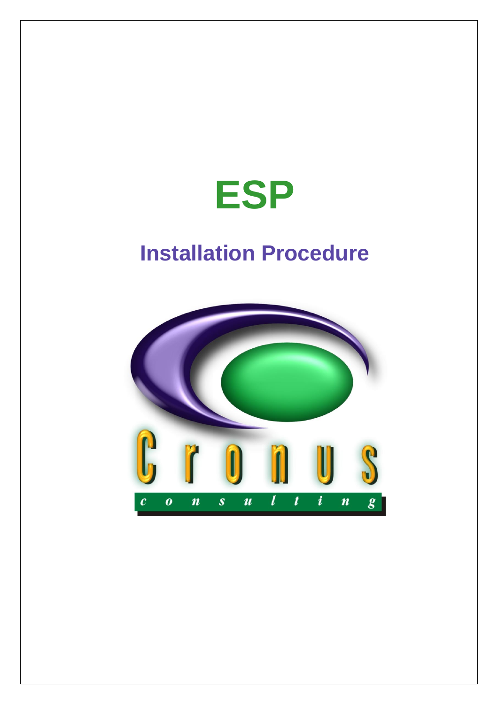

# **Installation Procedure**

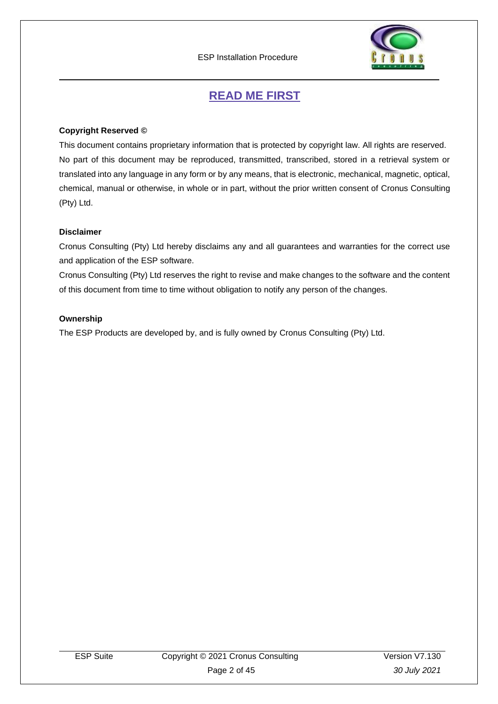

## **READ ME FIRST**

### <span id="page-1-0"></span>**Copyright Reserved ©**

This document contains proprietary information that is protected by copyright law. All rights are reserved. No part of this document may be reproduced, transmitted, transcribed, stored in a retrieval system or translated into any language in any form or by any means, that is electronic, mechanical, magnetic, optical, chemical, manual or otherwise, in whole or in part, without the prior written consent of Cronus Consulting (Pty) Ltd.

### **Disclaimer**

Cronus Consulting (Pty) Ltd hereby disclaims any and all guarantees and warranties for the correct use and application of the ESP software.

Cronus Consulting (Pty) Ltd reserves the right to revise and make changes to the software and the content of this document from time to time without obligation to notify any person of the changes.

### **Ownership**

The ESP Products are developed by, and is fully owned by Cronus Consulting (Pty) Ltd.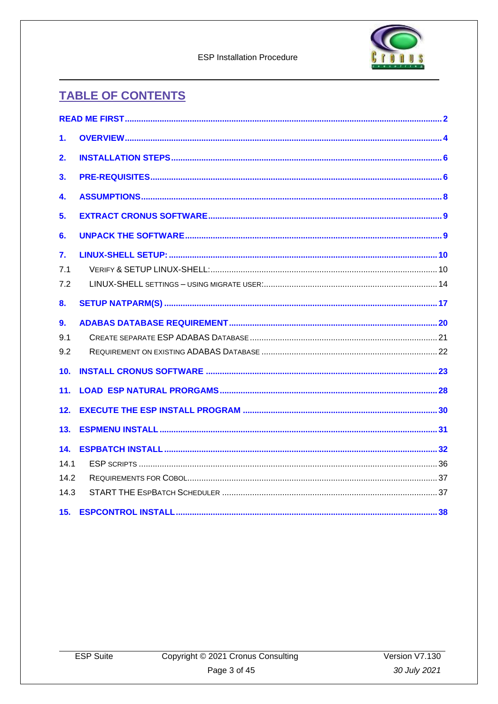

**ESP Installation Procedure** 

## **TABLE OF CONTENTS**

| 1.              |                                                                                                                                                                                                                                |    |
|-----------------|--------------------------------------------------------------------------------------------------------------------------------------------------------------------------------------------------------------------------------|----|
| 2.              |                                                                                                                                                                                                                                |    |
| 3.              |                                                                                                                                                                                                                                |    |
| 4.              |                                                                                                                                                                                                                                |    |
| 5.              |                                                                                                                                                                                                                                |    |
| 6.              |                                                                                                                                                                                                                                |    |
| 7.              |                                                                                                                                                                                                                                |    |
| 7.1             |                                                                                                                                                                                                                                |    |
| 7.2             |                                                                                                                                                                                                                                |    |
| 8.              |                                                                                                                                                                                                                                |    |
| 9 <sub>1</sub>  |                                                                                                                                                                                                                                |    |
| 9.1             |                                                                                                                                                                                                                                |    |
| 9.2             |                                                                                                                                                                                                                                |    |
| 10 <sub>1</sub> |                                                                                                                                                                                                                                |    |
| 11.             |                                                                                                                                                                                                                                |    |
| 12.             |                                                                                                                                                                                                                                |    |
| 13.             |                                                                                                                                                                                                                                |    |
| 14.             |                                                                                                                                                                                                                                |    |
| 14.1            |                                                                                                                                                                                                                                |    |
| 14.2            |                                                                                                                                                                                                                                |    |
| 14.3            |                                                                                                                                                                                                                                |    |
|                 | 15 ESPCONTROL INSTALLED AND THE CONTROL OF THE CONTROL OF THE CONTROL OF THE CONTROL OF THE CONTROL OF THE CONTROL OF THE CONTROL OF THE CONTROL OF THE CONTROL OF THE CONTROL OF THE CONTROL OF THE CONTROL OF THE CONTROL OF | 38 |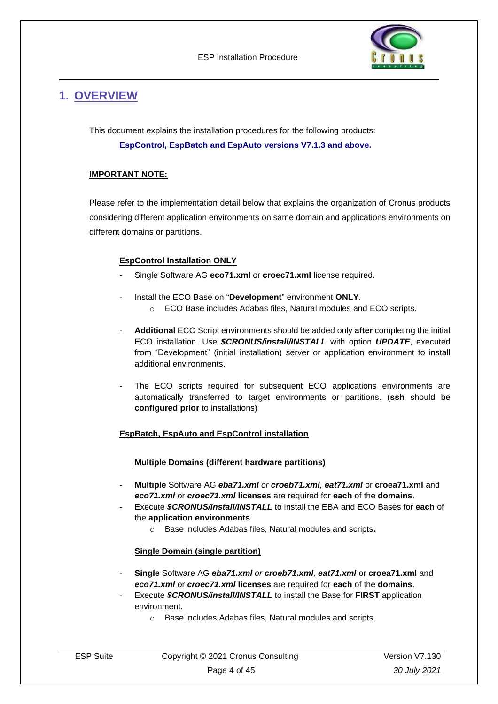

## <span id="page-3-0"></span>**1. OVERVIEW**

This document explains the installation procedures for the following products: **EspControl, EspBatch and EspAuto versions V7.1.3 and above.**

### **IMPORTANT NOTE:**

Please refer to the implementation detail below that explains the organization of Cronus products considering different application environments on same domain and applications environments on different domains or partitions.

### **EspControl Installation ONLY**

- Single Software AG **eco71.xml** or **croec71.xml** license required.
- Install the ECO Base on "**Development**" environment **ONLY**.
	- o ECO Base includes Adabas files, Natural modules and ECO scripts.
- **Additional** ECO Script environments should be added only **after** completing the initial ECO installation. Use *\$CRONUS/install/INSTALL* with option *UPDATE*, executed from "Development" (initial installation) server or application environment to install additional environments.
- The ECO scripts required for subsequent ECO applications environments are automatically transferred to target environments or partitions. (**ssh** should be **configured prior** to installations)

### **EspBatch, EspAuto and EspControl installation**

### **Multiple Domains (different hardware partitions)**

- **Multiple** Software AG *eba71.xml or croeb71.xml, eat71.xml* or **croea71.xml** and *eco71.xml* or *croec71.xml* **licenses** are required for **each** of the **domains**.
- Execute *\$CRONUS/install/INSTALL* to install the EBA and ECO Bases for **each** of the **application environments**.
	- o Base includes Adabas files, Natural modules and scripts**.**

### **Single Domain (single partition)**

- **Single** Software AG *eba71.xml or croeb71.xml, eat71.xml* or **croea71.xml** and *eco71.xml* or *croec71.xml* **licenses** are required for **each** of the **domains**.
- Execute *\$CRONUS/install/INSTALL* to install the Base for **FIRST** application environment.
	- o Base includes Adabas files, Natural modules and scripts.

| ESP Suite | Copyright © 2021 Cronus Consulting | Version V7.130 |
|-----------|------------------------------------|----------------|
|           | Page 4 of 45                       | 30 July 2021   |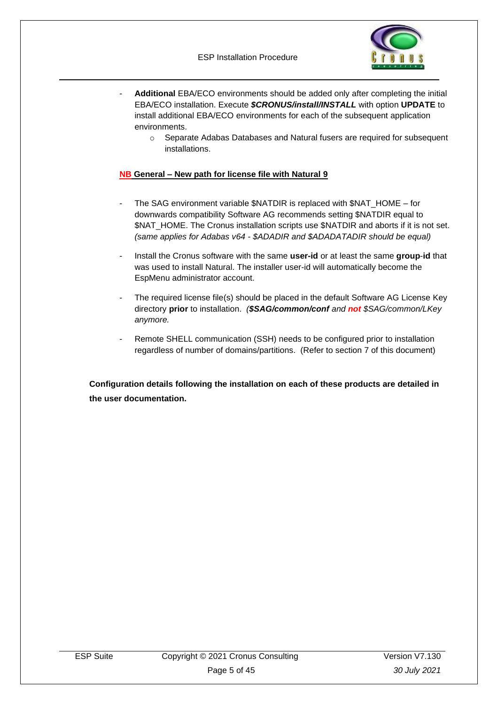

- Additional EBA/ECO environments should be added only after completing the initial EBA/ECO installation. Execute *\$CRONUS/install/INSTALL* with option **UPDATE** to install additional EBA/ECO environments for each of the subsequent application environments.
	- o Separate Adabas Databases and Natural fusers are required for subsequent installations.

### **NB General – New path for license file with Natural 9**

- The SAG environment variable \$NATDIR is replaced with \$NAT\_HOME for downwards compatibility Software AG recommends setting \$NATDIR equal to \$NAT\_HOME. The Cronus installation scripts use \$NATDIR and aborts if it is not set. *(same applies for Adabas v64 - \$ADADIR and \$ADADATADIR should be equal)*
- Install the Cronus software with the same **user-id** or at least the same **group**-**id** that was used to install Natural. The installer user-id will automatically become the EspMenu administrator account.
- The required license file(s) should be placed in the default Software AG License Key directory **prior** to installation. *(\$SAG/common/conf and not \$SAG/common/LKey anymore.*
- Remote SHELL communication (SSH) needs to be configured prior to installation regardless of number of domains/partitions. (Refer to section 7 of this document)

**Configuration details following the installation on each of these products are detailed in the user documentation.**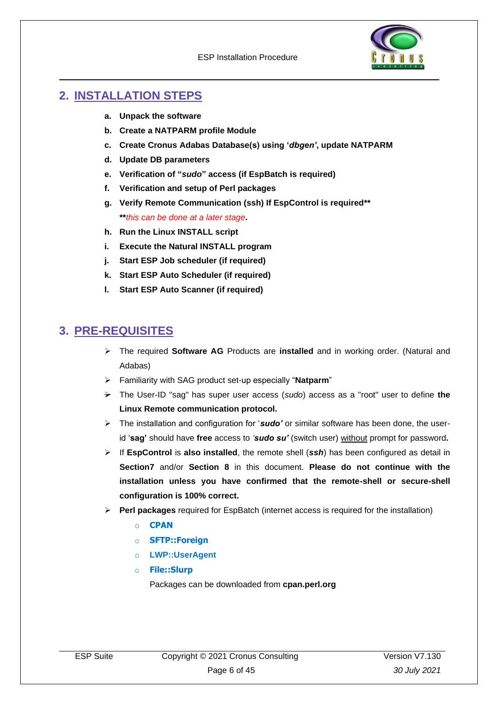

## <span id="page-5-0"></span>**2. INSTALLATION STEPS**

- **a. Unpack the software**
- **b. Create a NATPARM profile Module**
- **c. Create Cronus Adabas Database(s) using '***dbgen'***, update NATPARM**
- **d. Update DB parameters**
- **e. Verification of "***sudo***" access (if EspBatch is required)**
- **f. Verification and setup of Perl packages**
- **g. Verify Remote Communication (ssh) If EspControl is required\*\* \*\****this can be done at a later stage***.**
- **h. Run the Linux INSTALL script**
- **i. Execute the Natural INSTALL program**
- **j. Start ESP Job scheduler (if required)**
- **k. Start ESP Auto Scheduler (if required)**
- **l. Start ESP Auto Scanner (if required)**

## <span id="page-5-1"></span>**3. PRE-REQUISITES**

- ➢ The required **Software AG** Products are **installed** and in working order. (Natural and Adabas)
- ➢ Familiarity with SAG product set-up especially "**Natparm**"
- ➢ The User-ID "sag" has super user access (*sudo*) access as a "root" user to define **the Linux Remote communication protocol.**
- ➢ The installation and configuration for '*sudo'* or similar software has been done, the userid '**sag'** should have **free** access to *'sudo su'* (switch user) without prompt for password**.**
- ➢ If **EspControl** is **also installed**, the remote shell (*ssh*) has been configured as detail in **Section7** and/or **Section 8** in this document. **Please do not continue with the installation unless you have confirmed that the remote-shell or secure-shell configuration is 100% correct.**
- ➢ **Perl packages** required for EspBatch (internet access is required for the installation)
	- o **CPAN**
	- o **SFTP::Foreign**
	- o **LWP::UserAgent**
	- o **File::Slurp**

Packages can be downloaded from **cpan.perl.org**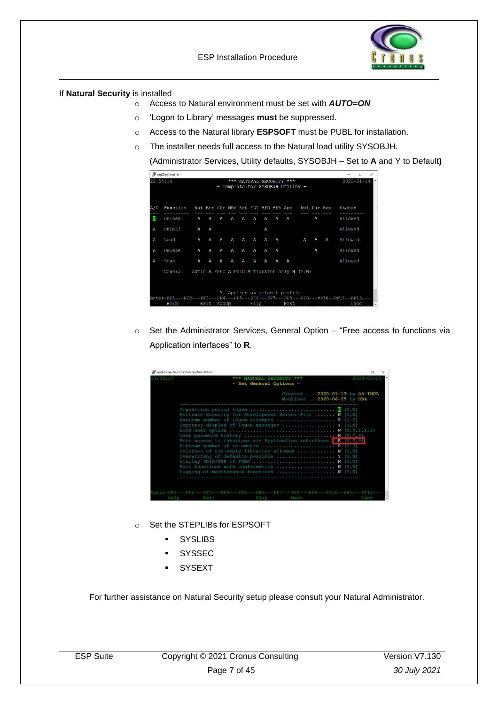



If **Natural Security** is installed

- o Access to Natural environment must be set with *AUTO=ON*
- o 'Logon to Library' messages **must** be suppressed.
- o Access to the Natural library **ESPSOFT** must be PUBL for installation.
- o The installer needs full access to the Natural load utility SYSOBJH.

(Administrator Services, Utility defaults, SYSOBJH – Set to **A** and Y to Default**)**

|     |                                                     |   |   |   |              |   |              |   |   | - Template for SYSOBJH Utility -                |   |   |   |         |
|-----|-----------------------------------------------------|---|---|---|--------------|---|--------------|---|---|-------------------------------------------------|---|---|---|---------|
| A/D | Function                                            |   |   |   |              |   |              |   |   | Nat Err CPr NRe Ext FDT MfD MfR App Del Par Rep |   |   |   | Status  |
| Ā   | Unload                                              | А | А | А | $\mathbf{A}$ | A | А            | А | А | А                                               |   | Α |   | Allowed |
| Α   | UnDeLi                                              | Α | Α |   |              |   |              | Α |   |                                                 |   |   |   | Allowed |
| Α   | Load                                                | Α | А | Α | А            | Α | А            | А | Α |                                                 | A | А | А | Allowed |
| Α   | Delete                                              | A | A | Α | А            | А | $\mathbf{A}$ | A | Α |                                                 |   | Α |   | Allowed |
| A   | Scan                                                | A | A | Α | A            | A | A            | A | Α | А                                               |   |   |   | Allowed |
|     | General Admin A FSEC A FDIC A Transfer only N (Y/N) |   |   |   |              |   |              |   |   |                                                 |   |   |   |         |
|     |                                                     |   |   |   |              |   |              |   |   |                                                 |   |   |   |         |
|     |                                                     |   |   |   |              |   |              |   |   | Y Applies as default profile                    |   |   |   |         |

o Set the Administrator Services, General Option – "Free access to functions via Application interfaces" to **R**.

| 13:00:27 |                                                                                                        | *** NATURAL SECURITY ***<br>- Set General Options - |                                                               |  | $2020 - 06 - 25$ |
|----------|--------------------------------------------------------------------------------------------------------|-----------------------------------------------------|---------------------------------------------------------------|--|------------------|
|          |                                                                                                        |                                                     | Created  2020-01-13 by OS-INPL<br>Modified  2020-06-25 by DBA |  |                  |
|          | Transition period logon $\overline{N}$ (Y,N)<br>Activate Security for Development Server File  N (Y,N) |                                                     |                                                               |  |                  |
|          | Maximum number of logon attempts  5 $(1-9)$<br>Suppress display of logon messages $Y (Y, N)$           |                                                     |                                                               |  |                  |
|          | User password history  N $(N, *, Y)$                                                                   |                                                     |                                                               |  |                  |
|          | Free access to functions via Application interfaces $\mathbb{R}$ (N, Y, R)                             |                                                     |                                                               |  |                  |
|          | Minimum number of co-owners  0 (0-3)<br>Deletion of non-empty libraries allowed  N $(Y, N)$            |                                                     |                                                               |  |                  |
|          | Overwriting of defaults possible $Y (Y, N)$<br>Display DBID/FNR of FSEC $N$ $(Y, N)$                   |                                                     |                                                               |  |                  |
|          | Exit functions with confirmation  N $(Y, N)$<br>Logging of maintenance functions $N (Y, N)$            |                                                     |                                                               |  |                  |
|          |                                                                                                        |                                                     |                                                               |  |                  |

- o Set the STEPLIBs for ESPSOFT
	- SYSLIBS
	- SYSSEC
	- **SYSEXT**

For further assistance on Natural Security setup please consult your Natural Administrator.

| ESP Suite | Copyright © 2021 Cronus Consulting | Version V7.130 |
|-----------|------------------------------------|----------------|
|           | Page 7 of 45                       | 30 July 2021   |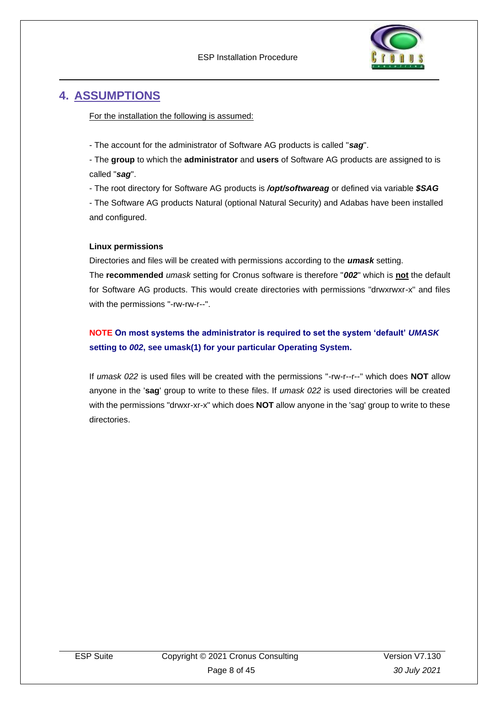

## <span id="page-7-0"></span>**4. ASSUMPTIONS**

For the installation the following is assumed:

- The account for the administrator of Software AG products is called "*sag*".

- The **group** to which the **administrator** and **users** of Software AG products are assigned to is called "*sag*".

- The root directory for Software AG products is */opt/softwareag* or defined via variable *\$SAG*

- The Software AG products Natural (optional Natural Security) and Adabas have been installed and configured.

### **Linux permissions**

Directories and files will be created with permissions according to the *umask* setting.

The **recommended** *umask* setting for Cronus software is therefore "*002*" which is **not** the default for Software AG products. This would create directories with permissions "drwxrwxr-x" and files with the permissions "-rw-rw-r--".

## **NOTE On most systems the administrator is required to set the system 'default'** *UMASK* **setting to** *002***, see umask(1) for your particular Operating System.**

If *umask 022* is used files will be created with the permissions "-rw-r--r--" which does **NOT** allow anyone in the '**sag**' group to write to these files. If *umask 022* is used directories will be created with the permissions "drwxr-xr-x" which does **NOT** allow anyone in the 'sag' group to write to these directories.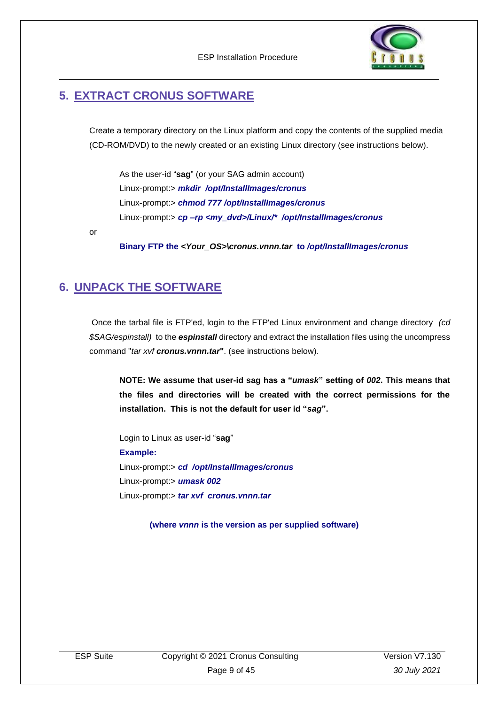

## <span id="page-8-0"></span>**5. EXTRACT CRONUS SOFTWARE**

Create a temporary directory on the Linux platform and copy the contents of the supplied media (CD-ROM/DVD) to the newly created or an existing Linux directory (see instructions below).

As the user-id "**sag**" (or your SAG admin account) Linux-prompt:> *mkdir /opt/InstallImages/cronus* Linux-prompt:> *chmod 777 /opt/InstallImages/cronus* Linux-prompt:> *cp –rp <my\_dvd>/Linux/\* /opt/InstallImages/cronus*

or

**Binary FTP the** *<Your\_OS>\cronus.vnnn.tar* **to** */opt/InstallImages/cronus*

## <span id="page-8-1"></span>**6. UNPACK THE SOFTWARE**

Once the tarbal file is FTP'ed, login to the FTP'ed Linux environment and change directory *(cd \$SAG/espinstall)* to the *espinstall* directory and extract the installation files using the uncompress command "*tar xvf cronus.vnnn.tar***"**. (see instructions below).

**NOTE: We assume that user-id sag has a "***umask***" setting of** *002***. This means that the files and directories will be created with the correct permissions for the installation. This is not the default for user id "***sag***".**

Login to Linux as user-id "**sag**" **Example:** Linux-prompt:> *cd /opt/InstallImages/cronus* Linux-prompt:> *umask 002* Linux-prompt:> *tar xvf cronus.vnnn.tar*

**(where** *vnnn* **is the version as per supplied software)**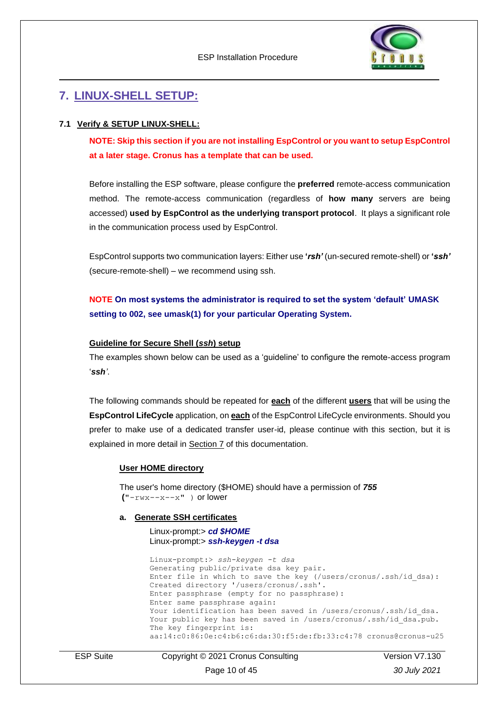

## <span id="page-9-0"></span>**7. LINUX-SHELL SETUP:**

### <span id="page-9-1"></span>**7.1 Verify & SETUP LINUX-SHELL:**

**NOTE: Skip this section if you are not installing EspControl or you want to setup EspControl at a later stage. Cronus has a template that can be used.**

Before installing the ESP software, please configure the **preferred** remote-access communication method. The remote-access communication (regardless of **how many** servers are being accessed) **used by EspControl as the underlying transport protocol**. It plays a significant role in the communication process used by EspControl.

EspControl supports two communication layers: Either use **'***rsh'* (un-secured remote-shell) or **'***ssh'* (secure-remote-shell) – we recommend using ssh.

**NOTE On most systems the administrator is required to set the system 'default' UMASK setting to 002, see umask(1) for your particular Operating System.**

#### **Guideline for Secure Shell (***ssh***) setup**

The examples shown below can be used as a 'guideline' to configure the remote-access program '*ssh'*.

The following commands should be repeated for **each** of the different **users** that will be using the **EspControl LifeCycle** application, on **each** of the EspControl LifeCycle environments. Should you prefer to make use of a dedicated transfer user-id, please continue with this section, but it is explained in more detail in Section 7 of this documentation.

#### **User HOME directory**

The user's home directory (\$HOME) should have a permission of *755*  $("-*rwx*-*-x*-*-x*" )$  or lower

#### **a. Generate SSH certificates**

#### Linux-prompt:> *cd \$HOME* Linux-prompt:> *ssh-keygen -t dsa*

Linux-prompt:> *ssh-keygen -t dsa* Generating public/private dsa key pair. Enter file in which to save the key (/users/cronus/.ssh/id\_dsa): Created directory '/users/cronus/.ssh'. Enter passphrase (empty for no passphrase): Enter same passphrase again: Your identification has been saved in /users/cronus/.ssh/id dsa. Your public key has been saved in /users/cronus/.ssh/id dsa.pub. The key fingerprint is: aa:14:c0:86:0e:c4:b6:c6:da:30:f5:de:fb:33:c4:78 cronus@cronus-u25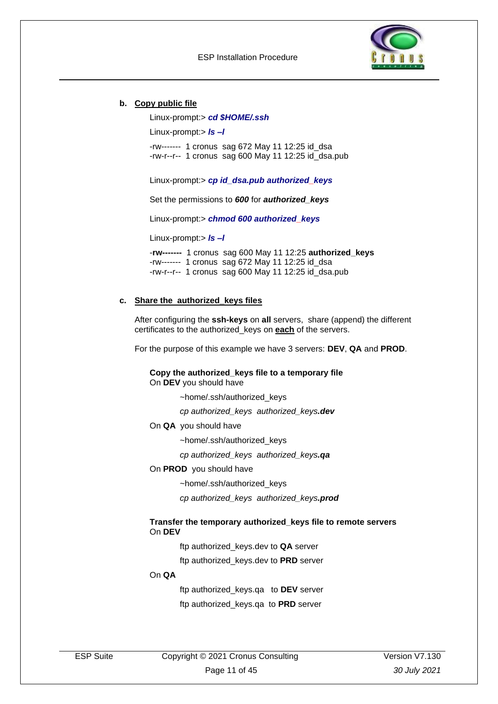

#### **b. Copy public file**

Linux-prompt:> *cd \$HOME/.ssh*

Linux-prompt:> *ls –l* 

-rw------- 1 cronus sag 672 May 11 12:25 id\_dsa -rw-r--r-- 1 cronus sag 600 May 11 12:25 id\_dsa.pub

Linux-prompt:> *cp id\_dsa.pub authorized\_keys*

Set the permissions to *600* for *authorized\_keys*

Linux-prompt:> *chmod 600 authorized\_keys*

Linux-prompt:> *ls –l* 

-**rw-------** 1 cronus sag 600 May 11 12:25 **authorized\_keys** -rw------- 1 cronus sag 672 May 11 12:25 id\_dsa -rw-r--r-- 1 cronus sag 600 May 11 12:25 id\_dsa.pub

#### **c. Share the authorized\_keys files**

After configuring the **ssh-keys** on **all** servers, share (append) the different certificates to the authorized\_keys on **each** of the servers.

For the purpose of this example we have 3 servers: **DEV**, **QA** and **PROD**.

**Copy the authorized\_keys file to a temporary file** On **DEV** you should have

~home/.ssh/authorized\_keys

*cp authorized\_keys authorized\_keys.dev*

On **QA** you should have

~home/.ssh/authorized\_keys

*cp authorized\_keys authorized\_keys.qa*

On **PROD** you should have

~home/.ssh/authorized\_keys

*cp authorized\_keys authorized\_keys.prod*

#### **Transfer the temporary authorized\_keys file to remote servers** On **DEV**

ftp authorized\_keys.dev to **QA** server

ftp authorized\_keys.dev to **PRD** server

#### On **QA**

ftp authorized\_keys.qa to **DEV** server ftp authorized\_keys.qa to **PRD** server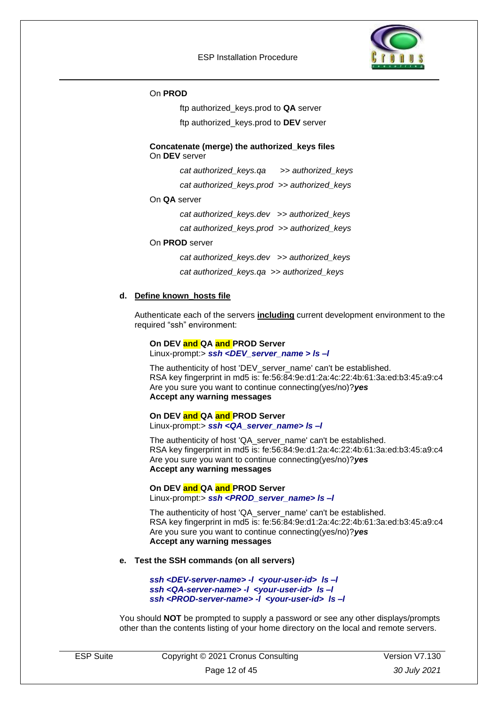

#### On **PROD**

ftp authorized\_keys.prod to **QA** server

ftp authorized\_keys.prod to **DEV** server

#### **Concatenate (merge) the authorized\_keys files** On **DEV** server

*cat authorized\_keys.qa >> authorized\_keys*

*cat authorized\_keys.prod >> authorized\_keys*

#### On **QA** server

*cat authorized\_keys.dev >> authorized\_keys*

*cat authorized\_keys.prod >> authorized\_keys*

#### On **PROD** server

*cat authorized\_keys.dev >> authorized\_keys cat authorized\_keys.qa >> authorized\_keys*

#### **d. Define known\_hosts file**

Authenticate each of the servers **including** current development environment to the required "ssh" environment:

#### **On DEV and QA and PROD Server**

Linux-prompt:> *ssh <DEV\_server\_name > ls –l*

The authenticity of host 'DEV\_server\_name' can't be established. RSA key fingerprint in md5 is: fe:56:84:9e:d1:2a:4c:22:4b:61:3a:ed:b3:45:a9:c4 Are you sure you want to continue connecting(yes/no)?*yes* **Accept any warning messages** 

#### **On DEV and QA and PROD Server**

Linux-prompt:> *ssh <QA\_server\_name> ls –l* 

The authenticity of host 'QA\_server\_name' can't be established. RSA key fingerprint in md5 is: fe:56:84:9e:d1:2a:4c:22:4b:61:3a:ed:b3:45:a9:c4 Are you sure you want to continue connecting(yes/no)?*yes* **Accept any warning messages** 

## **On DEV and QA and PROD Server**

Linux-prompt:> *ssh <PROD\_server\_name> ls –l* 

The authenticity of host 'QA\_server\_name' can't be established. RSA key fingerprint in md5 is: fe:56:84:9e:d1:2a:4c:22:4b:61:3a:ed:b3:45:a9:c4 Are you sure you want to continue connecting(yes/no)?*yes* **Accept any warning messages** 

#### **e. Test the SSH commands (on all servers)**

*ssh <DEV-server-name> -l <your-user-id> ls –l ssh <QA-server-name> -l <your-user-id> ls –l ssh <PROD-server-name> -l <your-user-id> ls –l*

You should **NOT** be prompted to supply a password or see any other displays/prompts other than the contents listing of your home directory on the local and remote servers.

| <b>ESP Suite</b> | Copyright © 2021 Cronus Consulting | Version V7.130 |
|------------------|------------------------------------|----------------|
|                  | Page 12 of 45                      | 30 July 2021   |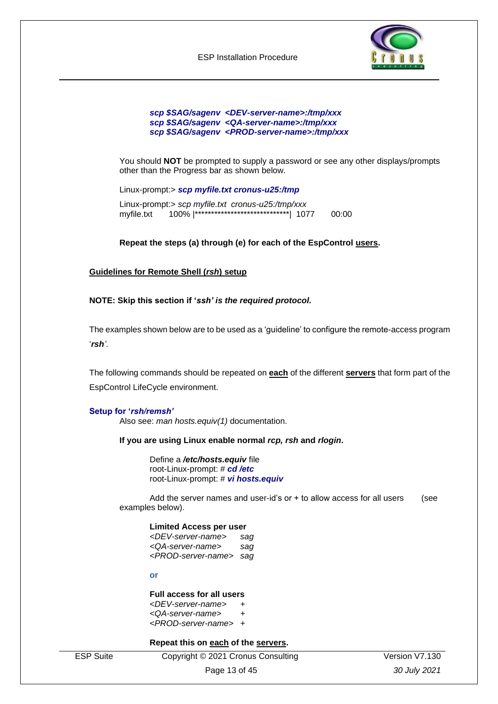

#### *scp \$SAG/sagenv <DEV-server-name>:/tmp/xxx scp \$SAG/sagenv <QA-server-name>:/tmp/xxx scp \$SAG/sagenv <PROD-server-name>:/tmp/xxx*

You should **NOT** be prompted to supply a password or see any other displays/prompts other than the Progress bar as shown below.

Linux-prompt:> *scp myfile.txt cronus-u25:/tmp* 

Linux-prompt:> *scp myfile.txt cronus-u25:/tmp/xxx* myfile.txt 100% |\*\*\*\*\*\*\*\*\*\*\*\*\*\*\*\*\*\*\*\*\*\*\*\*\*\*\*\*\*| 1077 00:00

#### **Repeat the steps (a) through (e) for each of the EspControl users.**

#### **Guidelines for Remote Shell (***rsh***) setup**

#### **NOTE: Skip this section if '***ssh' is the required protocol.*

The examples shown below are to be used as a 'guideline' to configure the remote-access program '*rsh'*.

The following commands should be repeated on **each** of the different **servers** that form part of the EspControl LifeCycle environment.

#### **Setup for '***rsh/remsh'*

Also see: *man hosts.equiv(1)* documentation.

#### **If you are using Linux enable normal** *rcp, rsh* **and** *rlogin***.**

Define a */etc/hosts.equiv* file root-Linux-prompt: # *cd /etc*  root-Linux-prompt: # *vi hosts.equiv*

Add the server names and user-id's or  $+$  to allow access for all users (see examples below).

#### **Limited Access per user**

*<DEV-server-name> sag <QA-server-name> sag <PROD-server-name> sag*

**or**

### **Full access for all users**

*<DEV-server-name> + <QA-server-name> +*

*<PROD-server-name> +*

#### **Repeat this on each of the servers.**

ESP Suite Copyright © 2021 Cronus Consulting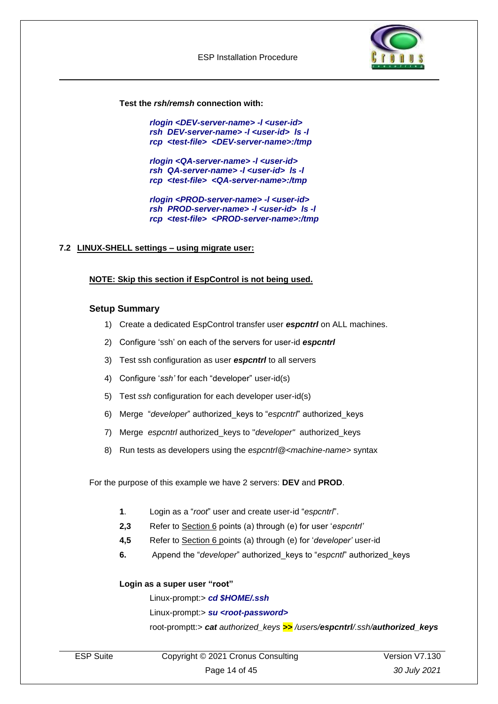

**Test the** *rsh/remsh* **connection with:**

*rlogin <DEV-server-name> -l <user-id> rsh DEV-server-name> -l <user-id> ls -l rcp <test-file> <DEV-server-name>:/tmp*

*rlogin <QA-server-name> -l <user-id> rsh QA-server-name> -l <user-id> ls -l rcp <test-file> <QA-server-name>:/tmp*

*rlogin <PROD-server-name> -l <user-id> rsh PROD-server-name> -l <user-id> ls -l rcp <test-file> <PROD-server-name>:/tmp*

### <span id="page-13-0"></span>**7.2 LINUX-SHELL settings – using migrate user:**

#### **NOTE: Skip this section if EspControl is not being used.**

#### **Setup Summary**

- 1) Create a dedicated EspControl transfer user *espcntrl* on ALL machines.
- 2) Configure 'ssh' on each of the servers for user-id *espcntrl*
- 3) Test ssh configuration as user *espcntrl* to all servers
- 4) Configure '*ssh'* for each "developer" user-id(s)
- 5) Test *ssh* configuration for each developer user-id(s)
- 6) Merge "*developer*" authorized\_keys to "*espcntrl*" authorized\_keys
- 7) Merge *espcntrl* authorized\_keys to "*developer"* authorized\_keys
- 8) Run tests as developers using the *espcntrl@<machine-name>* syntax

For the purpose of this example we have 2 servers: **DEV** and **PROD**.

- **1**. Login as a "*root*" user and create user-id "*espcntrl*".
- **2,3** Refer to Section 6 points (a) through (e) for user '*espcntrl'*
- **4,5** Refer to Section 6 points (a) through (e) for '*developer'* user-id
- **6.** Append the "*developer*" authorized\_keys to "*espcntl*" authorized\_keys

#### **Login as a super user "root"**

Linux-prompt:> *cd \$HOME/.ssh*

Linux-prompt:> *su <root-password>*

root-promptt:> *cat authorized\_keys >> /users/espcntrl/.ssh/authorized\_keys*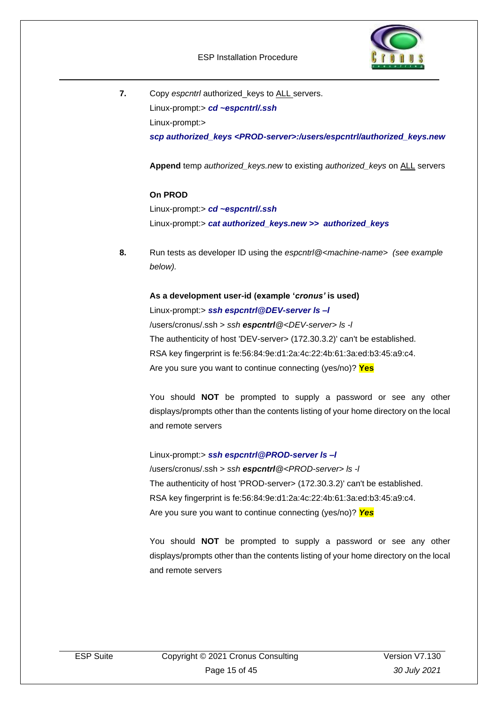

**7.** Copy *espcntrl* authorized\_keys to ALL servers. Linux-prompt:> *cd ~espcntrl/.ssh* Linux-prompt:> *scp authorized\_keys <PROD-server>:/users/espcntrl/authorized\_keys.new*

**Append** temp *authorized\_keys.new* to existing *authorized\_keys* on ALL servers

### **On PROD**

Linux-prompt:> *cd ~espcntrl/.ssh* Linux-prompt:> *cat authorized\_keys.new >> authorized\_keys*

**8.** Run tests as developer ID using the *espcntrl@<machine-name> (see example below).*

### **As a development user-id (example '***cronus'* **is used)**

Linux-prompt:> *ssh espcntrl@DEV-server ls –l* /users/cronus/.ssh > *ssh espcntrl@<DEV-server> ls -l* The authenticity of host 'DEV-server> (172.30.3.2)' can't be established. RSA key fingerprint is fe:56:84:9e:d1:2a:4c:22:4b:61:3a:ed:b3:45:a9:c4. Are you sure you want to continue connecting (yes/no)? **Yes**

You should **NOT** be prompted to supply a password or see any other displays/prompts other than the contents listing of your home directory on the local and remote servers

Linux-prompt:> *ssh espcntrl@PROD-server ls –l*  /users/cronus/.ssh > *ssh espcntrl@<PROD-server> ls -l* The authenticity of host 'PROD-server> (172.30.3.2)' can't be established. RSA key fingerprint is fe:56:84:9e:d1:2a:4c:22:4b:61:3a:ed:b3:45:a9:c4. Are you sure you want to continue connecting (yes/no)? *Yes*

You should **NOT** be prompted to supply a password or see any other displays/prompts other than the contents listing of your home directory on the local and remote servers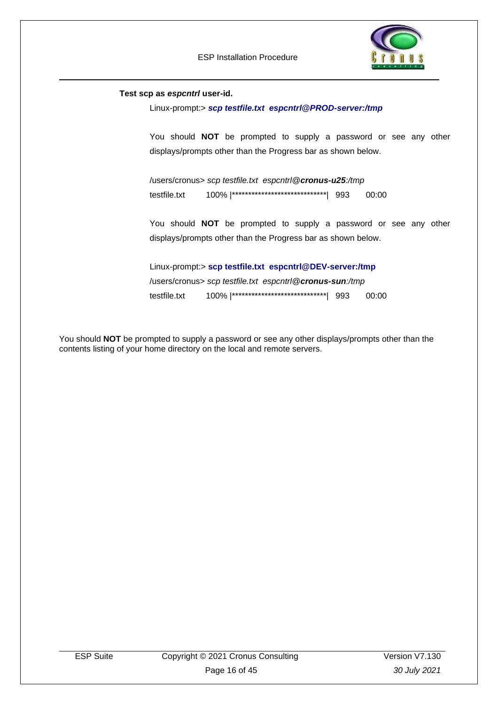

#### **Test scp as** *espcntrl* **user-id.**

Linux-prompt:> *scp testfile.txt espcntrl@PROD-server:/tmp* 

You should **NOT** be prompted to supply a password or see any other displays/prompts other than the Progress bar as shown below.

/users/cronus> *scp testfile.txt espcntrl@cronus-u25:/tmp* testfile.txt 100% |\*\*\*\*\*\*\*\*\*\*\*\*\*\*\*\*\*\*\*\*\*\*\*\*\*\*\*\*\*| 993 00:00

You should **NOT** be prompted to supply a password or see any other displays/prompts other than the Progress bar as shown below.

Linux-prompt:> **scp testfile.txt espcntrl@DEV-server:/tmp**  /users/cronus> *scp testfile.txt espcntrl@cronus-sun:/tmp* testfile.txt 100% |\*\*\*\*\*\*\*\*\*\*\*\*\*\*\*\*\*\*\*\*\*\*\*\*\*\*\*\*\*| 993 00:00

You should **NOT** be prompted to supply a password or see any other displays/prompts other than the contents listing of your home directory on the local and remote servers.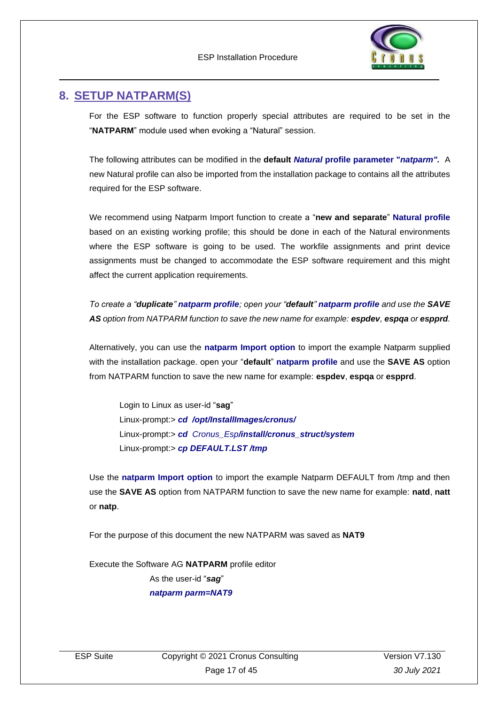

## <span id="page-16-0"></span>**8. SETUP NATPARM(S)**

For the ESP software to function properly special attributes are required to be set in the "**NATPARM**" module used when evoking a "Natural" session.

The following attributes can be modified in the **default** *Natural* **profile parameter "***natparm".* A new Natural profile can also be imported from the installation package to contains all the attributes required for the ESP software.

We recommend using Natparm Import function to create a "**new and separate**" **Natural profile** based on an existing working profile; this should be done in each of the Natural environments where the ESP software is going to be used. The workfile assignments and print device assignments must be changed to accommodate the ESP software requirement and this might affect the current application requirements.

*To create a "duplicate" natparm profile; open your "default" natparm profile and use the SAVE AS option from NATPARM function to save the new name for example: espdev, espqa or espprd.* 

Alternatively, you can use the **natparm Import option** to import the example Natparm supplied with the installation package. open your "**default**" **natparm profile** and use the **SAVE AS** option from NATPARM function to save the new name for example: **espdev**, **espqa** or **espprd**.

Login to Linux as user-id "**sag**" Linux-prompt:> *cd /opt/InstallImages/cronus/* Linux-prompt:> *cd Cronus\_Esp/install/cronus\_struct/system* Linux-prompt:> *cp DEFAULT.LST /tmp*

Use the **natparm Import option** to import the example Natparm DEFAULT from /tmp and then use the **SAVE AS** option from NATPARM function to save the new name for example: **natd**, **natt** or **natp**.

For the purpose of this document the new NATPARM was saved as **NAT9**

Execute the Software AG **NATPARM** profile editor As the user-id "*sag*" *natparm parm=NAT9*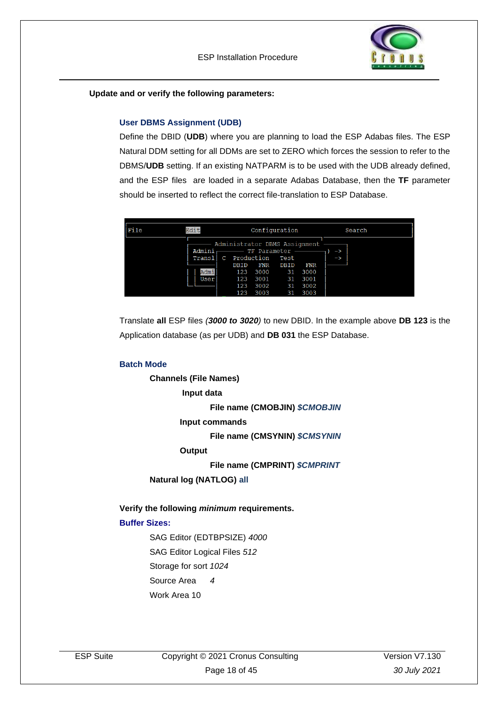

**Update and or verify the following parameters:**

### **User DBMS Assignment (UDB)**

Define the DBID (**UDB**) where you are planning to load the ESP Adabas files. The ESP Natural DDM setting for all DDMs are set to ZERO which forces the session to refer to the DBMS/**UDB** setting. If an existing NATPARM is to be used with the UDB already defined, and the ESP files are loaded in a separate Adabas Database, then the **TF** parameter should be inserted to reflect the correct file-translation to ESP Database.

| $ $ File | Edit<br>Configuration            |                                                                                      |                                                             |                                      |                                             |                     | Search |  |
|----------|----------------------------------|--------------------------------------------------------------------------------------|-------------------------------------------------------------|--------------------------------------|---------------------------------------------|---------------------|--------|--|
|          | Admini<br>Transl<br>Admi<br>User | Administrator DBMS Assignment<br>Production<br>C<br>DBID<br>123<br>123<br>123<br>123 | TF Parameter<br>${\tt FNR}$<br>3000<br>3001<br>3002<br>3003 | Test<br>DBID<br>31<br>31<br>31<br>31 | ${\tt FNR}$<br>3000<br>3001<br>3002<br>3003 | -><br>$\rightarrow$ |        |  |

Translate **all** ESP files *(3000 to 3020)* to new DBID. In the example above **DB 123** is the Application database (as per UDB) and **DB 031** the ESP Database.

#### **Batch Mode**

**Channels (File Names)**

**Input data** 

**File name (CMOBJIN)** *\$CMOBJIN*

**Input commands**

**File name (CMSYNIN)** *\$CMSYNIN*

**Output**

**File name (CMPRINT)** *\$CMPRINT*

**Natural log (NATLOG) all**

**Verify the following** *minimum* **requirements.**

### **Buffer Sizes:**

SAG Editor (EDTBPSIZE) *4000* SAG Editor Logical Files *512* Storage for sort *1024* Source Area *4* Work Area 10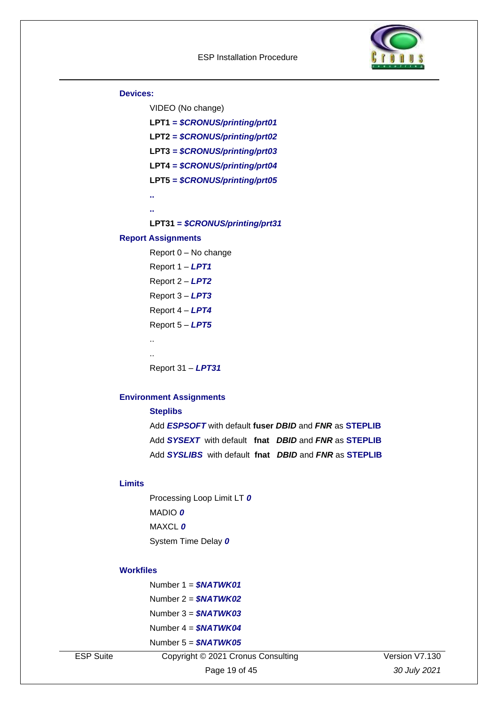

#### **Devices:**

VIDEO (No change) **LPT1 =** *\$CRONUS/printing/prt01* **LPT2 =** *\$CRONUS/printing/prt02* **LPT3** *= \$CRONUS/printing/prt03* **LPT4 =** *\$CRONUS/printing/prt04* **LPT5 =** *\$CRONUS/printing/prt05* **.. .. LPT31 =** *\$CRONUS/printing/prt31* **Report Assignments**

Report 0 – No change

Report 1 – *LPT1* Report 2 – *LPT2* Report 3 – *LPT3*

Report 4 – *LPT4*

Report 5 – *LPT5*

.. ..

Report 31 – *LPT31*

### **Environment Assignments**

**Steplibs** Add *ESPSOFT* with default **fuser** *DBID* and *FNR* as **STEPLIB** Add *SYSEXT*with default **fnat** *DBID* and *FNR* as **STEPLIB** Add *SYSLIBS* with default **fnat** *DBID* and *FNR* as **STEPLIB**

### **Limits**

Processing Loop Limit LT *0* MADIO *0* MAXCL *0* System Time Delay *0*

#### **Workfiles**

| Number 1 = \$NATWK01        |
|-----------------------------|
| Number 2 = \$NATWK02        |
| Number 3 = <b>\$NATWK03</b> |
| Number 4 = <b>\$NATWK04</b> |
| Number 5 = <b>\$NATWK05</b> |

ESP Suite Copyright © 2021 Cronus Consulting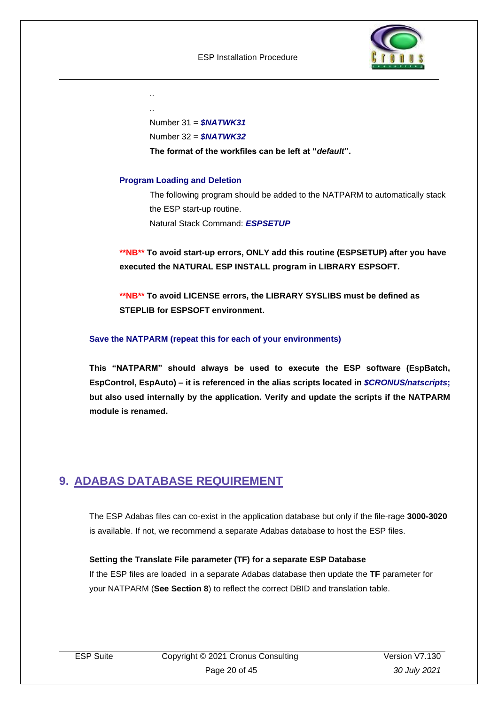

.. ..

Number 31 = *\$NATWK31*

Number 32 = *\$NATWK32*

**The format of the workfiles can be left at "***default***".**

### **Program Loading and Deletion**

The following program should be added to the NATPARM to automatically stack the ESP start-up routine. Natural Stack Command: *ESPSETUP*

**\*\*NB\*\* To avoid start-up errors, ONLY add this routine (ESPSETUP) after you have executed the NATURAL ESP INSTALL program in LIBRARY ESPSOFT.** 

**\*\*NB\*\* To avoid LICENSE errors, the LIBRARY SYSLIBS must be defined as STEPLIB for ESPSOFT environment.**

### **Save the NATPARM (repeat this for each of your environments)**

**This "NATPARM" should always be used to execute the ESP software (EspBatch, EspControl, EspAuto) – it is referenced in the alias scripts located in** *\$CRONUS/natscripts***; but also used internally by the application. Verify and update the scripts if the NATPARM module is renamed.**

## <span id="page-19-0"></span>**9. ADABAS DATABASE REQUIREMENT**

The ESP Adabas files can co-exist in the application database but only if the file-rage **3000-3020** is available. If not, we recommend a separate Adabas database to host the ESP files.

### **Setting the Translate File parameter (TF) for a separate ESP Database**

If the ESP files are loaded in a separate Adabas database then update the **TF** parameter for your NATPARM (**See Section 8**) to reflect the correct DBID and translation table.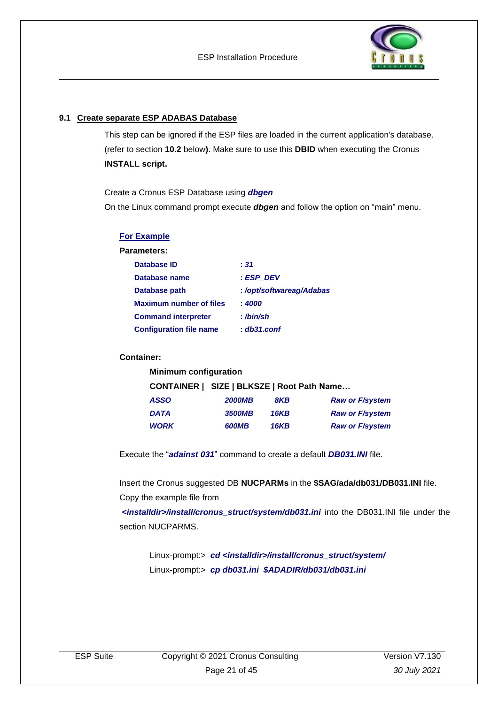

### <span id="page-20-0"></span>**9.1 Create separate ESP ADABAS Database**

This step can be ignored if the ESP files are loaded in the current application's database. (refer to section **10.2** below**)**. Make sure to use this **DBID** when executing the Cronus **INSTALL script.**

Create a Cronus ESP Database using *dbgen*

On the Linux command prompt execute *dbgen* and follow the option on "main" menu.

| <b>For Example</b>             |                         |
|--------------------------------|-------------------------|
| Parameters:                    |                         |
| Database ID                    | : 31                    |
| Database name                  | : ESP DEV               |
| Database path                  | :/opt/softwareag/Adabas |
| <b>Maximum number of files</b> | : 4000                  |
| <b>Command interpreter</b>     | : /bin/sh               |
| <b>Configuration file name</b> | $: db31.c$ onf          |

#### **Container:**

| <b>Minimum configuration</b> |             |                                            |  |  |
|------------------------------|-------------|--------------------------------------------|--|--|
|                              |             |                                            |  |  |
| <b>2000MB</b>                | 8KB         | <b>Raw or F/system</b>                     |  |  |
| <b>3500MB</b>                | <b>16KB</b> | <b>Raw or F/system</b>                     |  |  |
| <b>600MB</b>                 | <b>16KB</b> | <b>Raw or F/system</b>                     |  |  |
|                              |             | CONTAINER   SIZE   BLKSZE   Root Path Name |  |  |

Execute the "*adainst 031*" command to create a default *DB031.INI* file.

Insert the Cronus suggested DB **NUCPARMs** in the **\$SAG/ada/db031/DB031.INI** file. Copy the example file from

*<installdir>/install/cronus\_struct/system/db031.ini* into the DB031.INI file under the section NUCPARMS.

Linux-prompt:> *cd <installdir>/install/cronus\_struct/system/* Linux-prompt:> *cp db031.ini \$ADADIR/db031/db031.ini*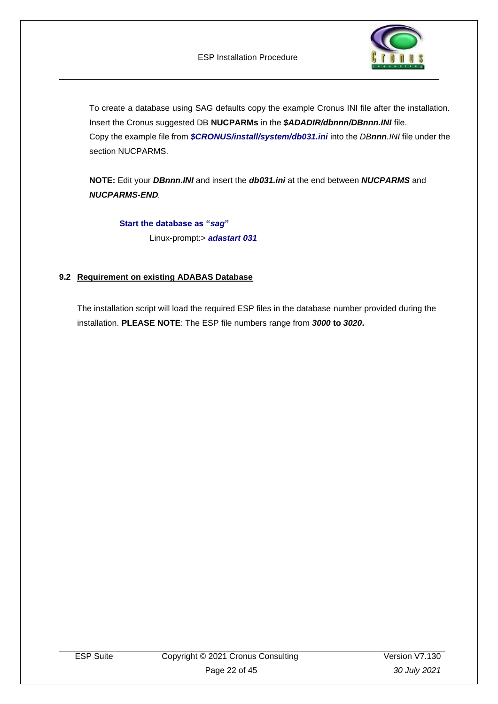

To create a database using SAG defaults copy the example Cronus INI file after the installation. Insert the Cronus suggested DB **NUCPARMs** in the *\$ADADIR/dbnnn/DBnnn.INI* file. Copy the example file from *\$CRONUS/install/system/db031.ini* into the *DBnnn.INI* file under the section NUCPARMS.

**NOTE:** Edit your *DBnnn.INI* and insert the *db031.ini* at the end between *NUCPARMS* and *NUCPARMS-END.*

**Start the database as "***sag***"** Linux-prompt:> *adastart 031*

### <span id="page-21-0"></span>**9.2 Requirement on existing ADABAS Database**

The installation script will load the required ESP files in the database number provided during the installation. **PLEASE NOTE**: The ESP file numbers range from *3000* **to** *3020***.**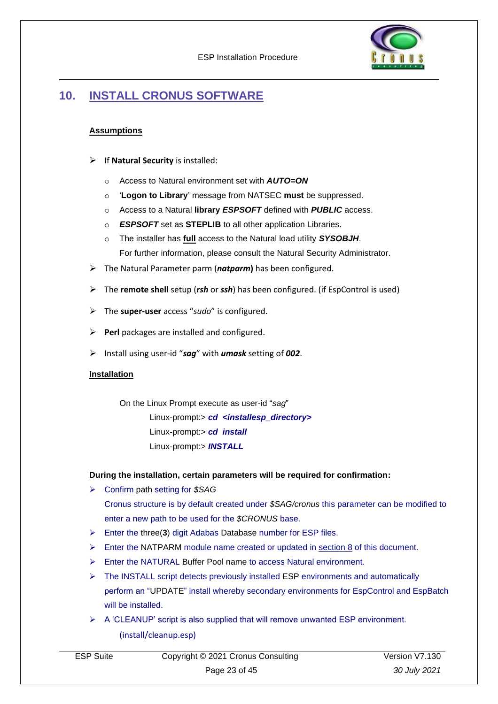

## <span id="page-22-0"></span>**10. INSTALL CRONUS SOFTWARE**

### **Assumptions**

- ➢ If **Natural Security** is installed:
	- o Access to Natural environment set with *AUTO=ON*
	- o '**Logon to Library**' message from NATSEC **must** be suppressed.
	- o Access to a Natural **library** *ESPSOFT* defined with *PUBLIC* access.
	- o *ESPSOFT* set as **STEPLIB** to all other application Libraries.
	- o The installer has **full** access to the Natural load utility *SYSOBJH*. For further information, please consult the Natural Security Administrator.
- ➢ The Natural Parameter parm (*natparm***)** has been configured.
- ➢ The **remote shell** setup (*rsh* or *ssh*) has been configured. (if EspControl is used)
- ➢ The **super-user** access "*sudo*" is configured.
- ➢ **Perl** packages are installed and configured.
- ➢ Install using user-id "*sag*" with *umask* setting of *002*.

#### **Installation**

On the Linux Prompt execute as user-id "*sag*" Linux-prompt:> *cd <installesp\_directory>* Linux-prompt:> *cd install* Linux-prompt:> *INSTALL*

#### **During the installation, certain parameters will be required for confirmation:**

➢ Confirm path setting for *\$SAG*

Cronus structure is by default created under *\$SAG/cronus* this parameter can be modified to enter a new path to be used for the *\$CRONUS* base.

- ➢ Enter the three(**3**) digit Adabas Database number for ESP files.
- $\triangleright$  Enter the NATPARM module name created or updated in section 8 of this document.
- ➢ Enter the NATURAL Buffer Pool name to access Natural environment.
- ➢ The INSTALL script detects previously installed ESP environments and automatically perform an "UPDATE" install whereby secondary environments for EspControl and EspBatch will be installed.
- $\triangleright$  A 'CLEANUP' script is also supplied that will remove unwanted ESP environment. (install/cleanup.esp)

| <b>ESP Suite</b> | Copyright © 2021 Cronus Consulting | Version V7.130 |
|------------------|------------------------------------|----------------|
|                  | Page 23 of 45                      | 30 July 2021   |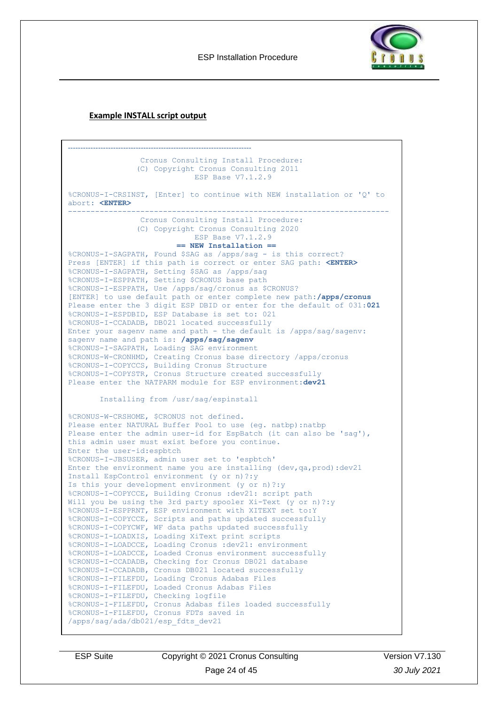ESP Installation Procedure



### **Example INSTALL script output**

```
-------------------------------------------------------------------------
                 Cronus Consulting Install Procedure:
                 (C) Copyright Cronus Consulting 2011
                             ESP Base V7.1.2.9
%CRONUS-I-CRSINST, [Enter] to continue with NEW installation or 'Q' to 
abort: <ENTER>
-----------------------------------------------------------------------
                 Cronus Consulting Install Procedure:
                (C) Copyright Cronus Consulting 2020
                             ESP Base V7.1.2.9
                         == NEW Installation ==
%CRONUS-I-SAGPATH, Found $SAG as /apps/sag - is this correct?
Press [ENTER] if this path is correct or enter SAG path: <ENTER>
%CRONUS-I-SAGPATH, Setting $SAG as /apps/sag
%CRONUS-I-ESPPATH, Setting $CRONUS base path
%CRONUS-I-ESPPATH, Use /apps/sag/cronus as $CRONUS?
[ENTER] to use default path or enter complete new path:/apps/cronus
Please enter the 3 digit ESP DBID or enter for the default of 031:021
%CRONUS-I-ESPDBID, ESP Database is set to: 021
%CRONUS-I-CCADADB, DB021 located successfully
Enter your sagenv name and path - the default is /apps/sag/sagenv:
sagenv name and path is: /apps/sag/sagenv
%CRONUS-I-SAGPATH, Loading SAG environment
%CRONUS-W-CRONHMD, Creating Cronus base directory /apps/cronus
%CRONUS-I-COPYCCS, Building Cronus Structure
%CRONUS-I-COPYSTR, Cronus Structure created successfully
Please enter the NATPARM module for ESP environment:dev21
        Installing from /usr/sag/espinstall
%CRONUS-W-CRSHOME, $CRONUS not defined.
Please enter NATURAL Buffer Pool to use (eg. natbp):natbp
Please enter the admin user-id for EspBatch (it can also be 'saq'),
this admin user must exist before you continue.
Enter the user-id:espbtch
%CRONUS-I-JBSUSER, admin user set to 'espbtch'
Enter the environment name you are installing (dev,qa,prod):dev21
Install EspControl environment (y or n)?:y
Is this your development environment (y or n)?:y
%CRONUS-I-COPYCCE, Building Cronus :dev21: script path
Will you be using the 3rd party spooler Xi-Text (y or n) ?: y
%CRONUS-I-ESPPRNT, ESP environment with XITEXT set to:Y
%CRONUS-I-COPYCCE, Scripts and paths updated successfully
%CRONUS-I-COPYCWF, WF data paths updated successfully
%CRONUS-I-LOADXIS, Loading XiText print scripts
%CRONUS-I-LOADCCE, Loading Cronus :dev21: environment
%CRONUS-I-LOADCCE, Loaded Cronus environment successfully
%CRONUS-I-CCADADB, Checking for Cronus DB021 database
%CRONUS-I-CCADADB, Cronus DB021 located successfully
%CRONUS-I-FILEFDU, Loading Cronus Adabas Files
%CRONUS-I-FILEFDU, Loaded Cronus Adabas Files
%CRONUS-I-FILEFDU, Checking logfile
%CRONUS-I-FILEFDU, Cronus Adabas files loaded successfully
%CRONUS-I-FILEFDU, Cronus FDTs saved in 
/apps/sag/ada/db021/esp_fdts_dev21
```
ESP Suite Copyright © 2021 Cronus Consulting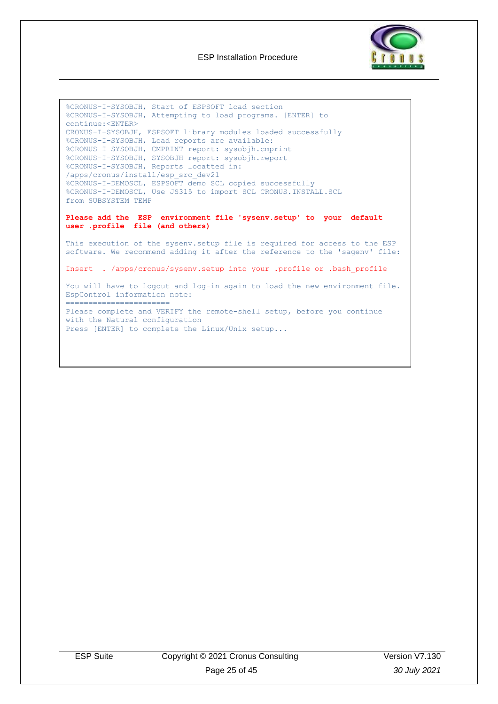

```
%CRONUS-I-SYSOBJH, Start of ESPSOFT load section
%CRONUS-I-SYSOBJH, Attempting to load programs. [ENTER] to 
continue:<ENTER>
CRONUS-I-SYSOBJH, ESPSOFT library modules loaded successfully
%CRONUS-I-SYSOBJH, Load reports are available:
%CRONUS-I-SYSOBJH, CMPRINT report: sysobjh.cmprint
%CRONUS-I-SYSOBJH, SYSOBJH report: sysobjh.report
%CRONUS-I-SYSOBJH, Reports locatted in: 
/apps/cronus/install/esp_src_dev21
%CRONUS-I-DEMOSCL, ESPSOFT demo SCL copied successfully
%CRONUS-I-DEMOSCL, Use JS315 to import SCL CRONUS.INSTALL.SCL 
from SUBSYSTEM TEMP
Please add the ESP environment file 'sysenv.setup' to your default 
user .profile file (and others)
This execution of the sysenv.setup file is required for access to the ESP 
software. We recommend adding it after the reference to the 'sagenv' file: 
Insert . /apps/cronus/sysenv.setup into your .profile or .bash_profile
You will have to logout and log-in again to load the new environment file.
EspControl information note:
=======================
Please complete and VERIFY the remote-shell setup, before you continue 
with the Natural configuration 
Press [ENTER] to complete the Linux/Unix setup...
```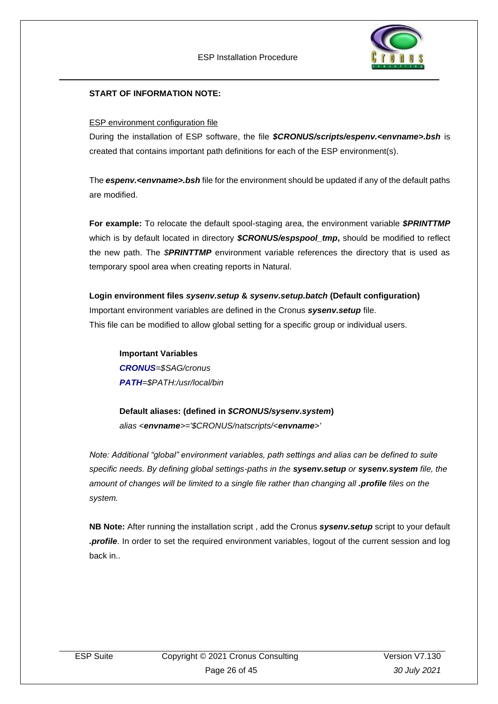

### **START OF INFORMATION NOTE:**

#### ESP environment configuration file

During the installation of ESP software, the file *\$CRONUS/scripts/espenv.<envname>.bsh* is created that contains important path definitions for each of the ESP environment(s).

The *espenv.<envname>.bsh* file for the environment should be updated if any of the default paths are modified.

**For example:** To relocate the default spool-staging area, the environment variable *\$PRINTTMP* which is by default located in directory *\$CRONUS/espspool\_tmp***,** should be modified to reflect the new path. The *\$PRINTTMP* environment variable references the directory that is used as temporary spool area when creating reports in Natural.

**Login environment files** *sysenv.setup* **&** *sysenv.setup.batch* **(Default configuration)** Important environment variables are defined in the Cronus *sysenv.setup* file. This file can be modified to allow global setting for a specific group or individual users.

**Important Variables** *CRONUS=\$SAG/cronus PATH=\$PATH:/usr/local/bin*

**Default aliases: (defined in** *\$CRONUS/sysenv.system***)** *alias <envname>='\$CRONUS/natscripts/<envname>'*

*Note: Additional "global" environment variables, path settings and alias can be defined to suite specific needs. By defining global settings-paths in the sysenv.setup or sysenv.system file, the amount of changes will be limited to a single file rather than changing all .profile files on the system.*

**NB Note:** After running the installation script , add the Cronus *sysenv.setup* script to your default *.profile*. In order to set the required environment variables, logout of the current session and log back in..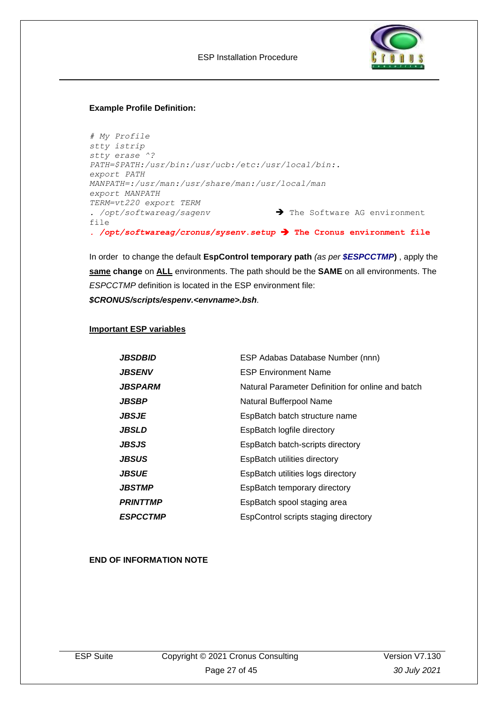

#### **Example Profile Definition:**

```
# My Profile
stty istrip
stty erase ^?
PATH=$PATH:/usr/bin:/usr/ucb:/etc:/usr/local/bin:.
export PATH
MANPATH=:/usr/man:/usr/share/man:/usr/local/man
export MANPATH
TERM=vt220 export TERM
. /opt/softwareag/sagenv ➔ The Software AG environment 
file
. /opt/softwareag/cronus/sysenv.setup ➔ The Cronus environment file
```
In order to change the default **EspControl temporary path** *(as per \$ESPCCTMP***)** , apply the **same change** on **ALL** environments. The path should be the **SAME** on all environments. The *ESPCCTMP* definition is located in the ESP environment file: *\$CRONUS/scripts/espenv.<envname>.bsh.*

#### **Important ESP variables**

| JBSDBID         | ESP Adabas Database Number (nnn)                  |
|-----------------|---------------------------------------------------|
| JBSENV          | <b>ESP Environment Name</b>                       |
| JBSPARM         | Natural Parameter Definition for online and batch |
| JBSBP           | Natural Bufferpool Name                           |
| JBSJE           | EspBatch batch structure name                     |
| JBSLD           | EspBatch logfile directory                        |
| JBSJS           | EspBatch batch-scripts directory                  |
| JBSUS           | EspBatch utilities directory                      |
| JBSUE           | EspBatch utilities logs directory                 |
| JBSTMP          | EspBatch temporary directory                      |
| <b>PRINTTMP</b> | EspBatch spool staging area                       |
| <b>ESPCCTMP</b> | EspControl scripts staging directory              |

### **END OF INFORMATION NOTE**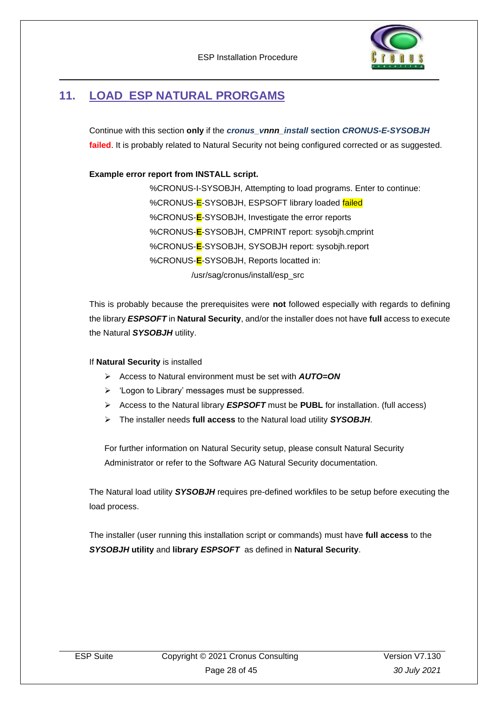

## <span id="page-27-0"></span>**11. LOAD ESP NATURAL PRORGAMS**

Continue with this section **only** if the *cronus\_vnnn\_install* **section** *CRONUS-E-SYSOBJH* failed. It is probably related to Natural Security not being configured corrected or as suggested.

**Example error report from INSTALL script.**

%CRONUS-I-SYSOBJH, Attempting to load programs. Enter to continue: %CRONUS-**E**-SYSOBJH, ESPSOFT library loaded failed %CRONUS-**E**-SYSOBJH, Investigate the error reports %CRONUS-**E**-SYSOBJH, CMPRINT report: sysobjh.cmprint %CRONUS-**E**-SYSOBJH, SYSOBJH report: sysobjh.report %CRONUS-**E**-SYSOBJH, Reports locatted in: /usr/sag/cronus/install/esp\_src

This is probably because the prerequisites were **not** followed especially with regards to defining the library *ESPSOFT* in **Natural Security**, and/or the installer does not have **full** access to execute the Natural *SYSOBJH* utility.

### If **Natural Security** is installed

- ➢ Access to Natural environment must be set with *AUTO=ON*
- ➢ 'Logon to Library' messages must be suppressed.
- ➢ Access to the Natural library *ESPSOFT* must be **PUBL** for installation. (full access)
- ➢ The installer needs **full access** to the Natural load utility *SYSOBJH*.

For further information on Natural Security setup, please consult Natural Security Administrator or refer to the Software AG Natural Security documentation.

The Natural load utility *SYSOBJH* requires pre-defined workfiles to be setup before executing the load process.

The installer (user running this installation script or commands) must have **full access** to the *SYSOBJH* **utility** and **library** *ESPSOFT* as defined in **Natural Security**.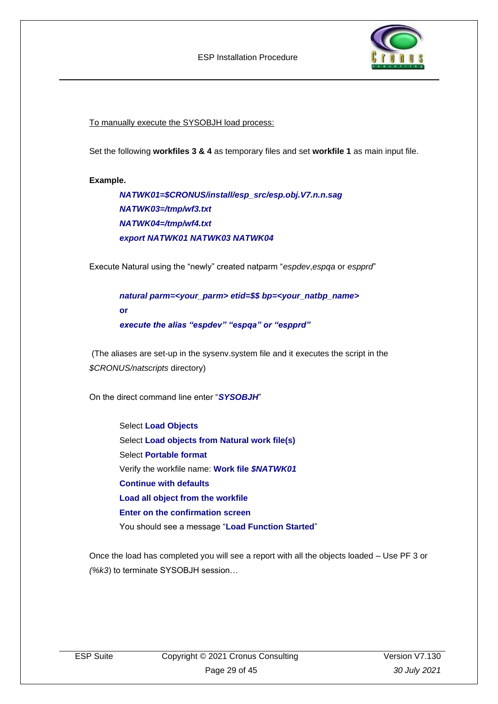

To manually execute the SYSOBJH load process:

Set the following **workfiles 3 & 4** as temporary files and set **workfile 1** as main input file.

#### **Example.**

*NATWK01=\$CRONUS/install/esp\_src/esp.obj.V7.n.n.sag NATWK03=/tmp/wf3.txt NATWK04=/tmp/wf4.txt export NATWK01 NATWK03 NATWK04*

Execute Natural using the "newly" created natparm "*espdev*,*espqa* or *espprd*"

*natural parm=<your\_parm> etid=\$\$ bp=<your\_natbp\_name>*  **or**  *execute the alias "espdev" "espqa" or "espprd"*

(The aliases are set-up in the sysenv.system file and it executes the script in the *\$CRONUS/natscripts* directory)

On the direct command line enter "*SYSOBJH*"

Select **Load Objects** Select **Load objects from Natural work file(s)** Select **Portable format** Verify the workfile name: **Work file** *\$NATWK01* **Continue with defaults Load all object from the workfile Enter on the confirmation screen** You should see a message "**Load Function Started**"

Once the load has completed you will see a report with all the objects loaded – Use PF 3 or *(%k3*) to terminate SYSOBJH session…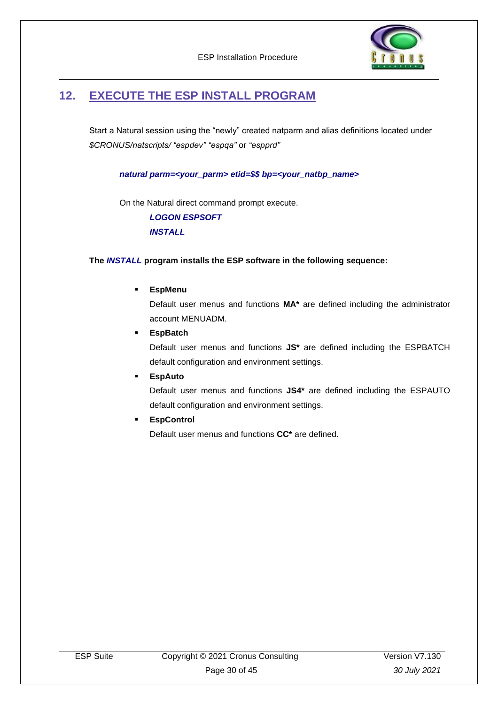

## <span id="page-29-0"></span>**12. EXECUTE THE ESP INSTALL PROGRAM**

Start a Natural session using the "newly" created natparm and alias definitions located under *\$CRONUS/natscripts/ "espdev" "espqa"* or *"espprd"* 

*natural parm=<your\_parm> etid=\$\$ bp=<your\_natbp\_name>* 

On the Natural direct command prompt execute.

*LOGON ESPSOFT INSTALL*

### **The** *INSTALL* **program installs the ESP software in the following sequence:**

### ▪ **EspMenu**

Default user menus and functions **MA\*** are defined including the administrator account MENUADM.

**EspBatch** 

Default user menus and functions **JS\*** are defined including the ESPBATCH default configuration and environment settings.

**EspAuto** 

Default user menus and functions **JS4\*** are defined including the ESPAUTO default configuration and environment settings.

▪ **EspControl**

Default user menus and functions **CC\*** are defined.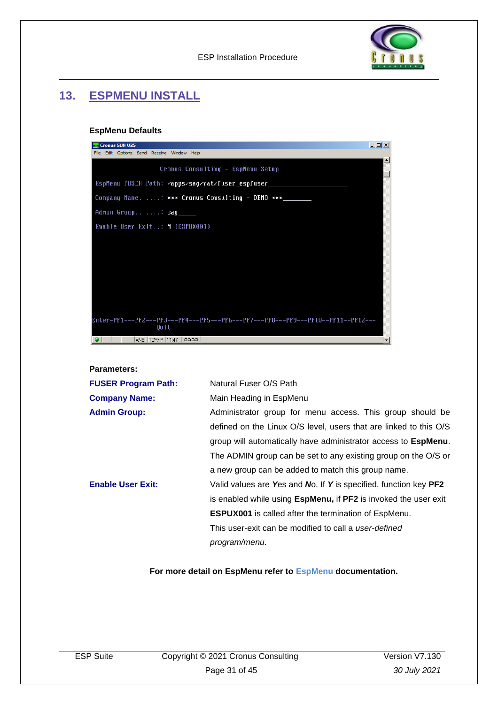

## <span id="page-30-0"></span>**13. ESPMENU INSTALL**

### **EspMenu Defaults**

| <b>Cronus SUN U25</b>                                                                   | $-10x$ |
|-----------------------------------------------------------------------------------------|--------|
| Edit Options Send Receive Window Help<br>File                                           |        |
| Cronus Consulting - EspMenu Setup                                                       |        |
| EspMenu FUSER Path: /apps/sag/nat/fuser_espfuser_                                       |        |
| Company Name: *** Cronus Consulting - DEMO ***                                          |        |
| Admin Group: sag                                                                        |        |
| Enable User Exit: N (ESPUX001)                                                          |        |
|                                                                                         |        |
|                                                                                         |        |
|                                                                                         |        |
|                                                                                         |        |
|                                                                                         |        |
|                                                                                         |        |
| Enter-PF1---PF2---PF3---PF4---PF5---PF6---PF7---PF8---PF9---PF10--PF11--PF12---<br>Quit |        |
| ANSI   TCP/IP   11:47<br>0000                                                           |        |

#### **Parameters:**

| <b>FUSER Program Path:</b> | Natural Fuser O/S Path                                                         |  |  |
|----------------------------|--------------------------------------------------------------------------------|--|--|
| <b>Company Name:</b>       | Main Heading in EspMenu                                                        |  |  |
| <b>Admin Group:</b>        | Administrator group for menu access. This group should be                      |  |  |
|                            | defined on the Linux O/S level, users that are linked to this O/S              |  |  |
|                            | group will automatically have administrator access to EspMenu.                 |  |  |
|                            | The ADMIN group can be set to any existing group on the O/S or                 |  |  |
|                            | a new group can be added to match this group name.                             |  |  |
| <b>Enable User Exit:</b>   | Valid values are Yes and No. If Y is specified, function key PF2               |  |  |
|                            | is enabled while using <b>EspMenu</b> , if <b>PF2</b> is invoked the user exit |  |  |
|                            | <b>ESPUX001</b> is called after the termination of EspMenu.                    |  |  |
|                            | This user-exit can be modified to call a user-defined                          |  |  |
|                            | program/menu.                                                                  |  |  |

### **For more detail on EspMenu refer to EspMenu documentation.**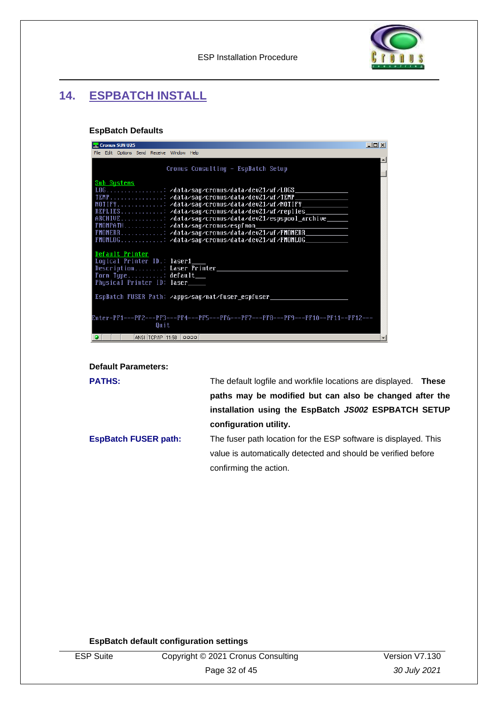ESP Installation Procedure



## <span id="page-31-0"></span>**14. ESPBATCH INSTALL**

### **EspBatch Defaults**

| Cronus SUN U25                                                                                                                                                                                                                                                                                                                                                                              | $ \Box$ $\times$ |
|---------------------------------------------------------------------------------------------------------------------------------------------------------------------------------------------------------------------------------------------------------------------------------------------------------------------------------------------------------------------------------------------|------------------|
| File Edit Options Send Receive Window Help                                                                                                                                                                                                                                                                                                                                                  |                  |
| Cronus Consulting - EspBatch Setup                                                                                                                                                                                                                                                                                                                                                          |                  |
| <b>Sub Systems</b><br>LOG: /data/sag/cronus/data/dev21/wf/LOGS<br>NOTIFY: /data/saq/cronus/data/dev21/wf/NOTIFY<br>REPLIES: /data/saq/cronus/data/dev21/wf/replies<br>$A$ RCHIVE: /data/saq/cronus/data/dev21/espspool_archive________________<br>FMONPATH: /data/saq/cronus/espfmon<br>FMONERR: /data/sag/cronus/data/dev21/wf/FMONERR<br>FMONLOG: /data/sag/cronus/data/dev21/wf/FMONLOG_ |                  |
| Default Printer<br>Logical Printer ID.: laser1<br>Description: Laser Printer<br>Form Type: $\text{default}$<br>Physical Printer ID: laser____                                                                                                                                                                                                                                               |                  |
| EspBatch FUSER Path: /apps/sag/nat/fuser_espfuser_<br>Enter-PF1---PF2---PF3---PF4---PF5---PF6---PF7---PF8---PF9---PF10--PF11--PF12---<br>Quit<br>ANSI TCP/IP 11:58 0000                                                                                                                                                                                                                     |                  |

**Default Parameters:**

| <b>PATHS:</b>               | The default logfile and workfile locations are displayed.<br>These |
|-----------------------------|--------------------------------------------------------------------|
|                             | paths may be modified but can also be changed after the            |
|                             | installation using the EspBatch JS002 ESPBATCH SETUP               |
|                             | configuration utility.                                             |
| <b>EspBatch FUSER path:</b> | The fuser path location for the ESP software is displayed. This    |
|                             | value is automatically detected and should be verified before      |
|                             | confirming the action.                                             |

**EspBatch default configuration settings**

| 6<br>"<br>ı<br>L |
|------------------|

e Copyright © 2021 Cronus Consulting Page 32 of 45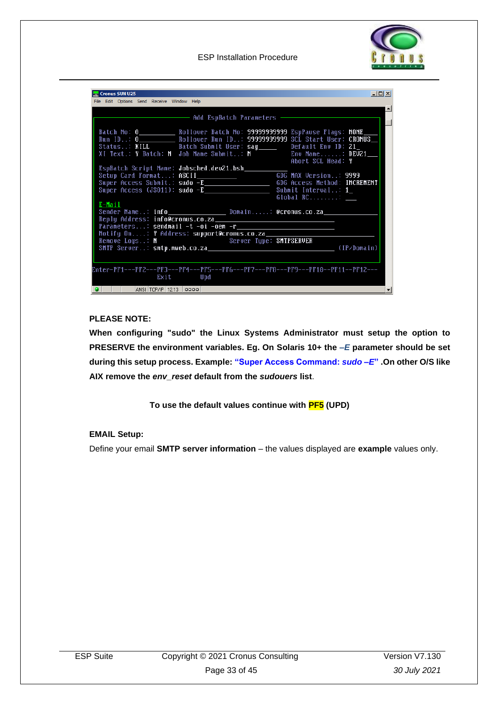

| Cronus SUN U25                                                                                                                                                                                                                                                                                                                  | $    \times$ $-$                           |  |
|---------------------------------------------------------------------------------------------------------------------------------------------------------------------------------------------------------------------------------------------------------------------------------------------------------------------------------|--------------------------------------------|--|
| File Edit Options Send Receive Window Help                                                                                                                                                                                                                                                                                      |                                            |  |
| Batch No: 0_____________Rollover Batch No: 99999999999 EspPause Flags: NONE_<br>Run ID: 0____________ Rollover Run ID: 99999999999 SCL Start User: CRONUS_<br>Status: KILL Batch Submit User: sag_____ Default Env ID: 21_<br>XI Text.: Y Batch: N Job Name Submit: N The Chu Name: DEU21<br>Setup Card Format: ASCII__________ | Abort SCL Head: Y<br>GDG MAX Version: 9999 |  |
| Global RC:<br>E-Mail<br>Sender Name: info_______________________________Domain: @cronus.co.za_____<br>Parameters: sendmail -t -oi -oem -r<br>Notify On: Y Address: support@cronus.co.za______________                                                                                                                           |                                            |  |
| Server Type: SMTPSERVER<br>Remove Logs: $N$<br>SMIP Server: smtp.mweb.co.za (IP/Domain)                                                                                                                                                                                                                                         |                                            |  |
| Enter-PF1---PF2---PF3---PF4---PF5---PF6---PF7---PF8---PF9---PF10--PF11--PF12---<br>Exit Upd                                                                                                                                                                                                                                     |                                            |  |
| ANSI TCP/IP 12:13 0000<br>۰                                                                                                                                                                                                                                                                                                     |                                            |  |

### **PLEASE NOTE:**

**When configuring "sudo" the Linux Systems Administrator must setup the option to PRESERVE the environment variables. Eg. On Solaris 10+ the** *–E* **parameter should be set during this setup process. Example: "Super Access Command:** *sudo –E***" .On other O/S like AIX remove the** *env\_reset* **default from the** *sudouers* **list**.

**To use the default values continue with PF5 (UPD)**

### **EMAIL Setup:**

Define your email **SMTP server information** – the values displayed are **example** values only.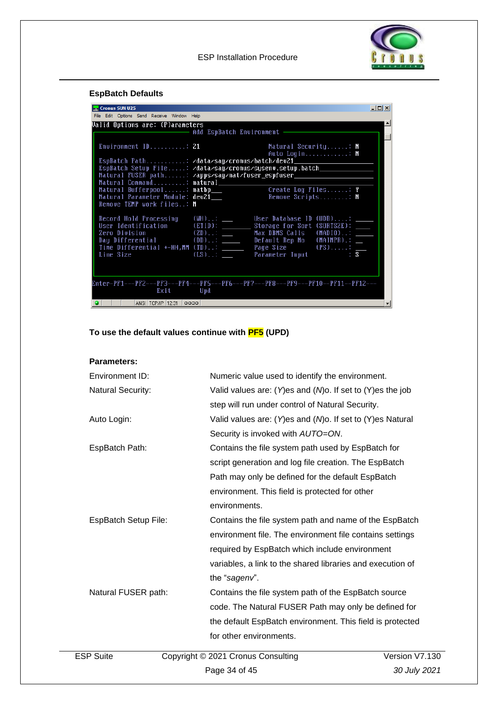

### **EspBatch Defaults**

| Cronus SUN U25                                               |                                                                                                               | $\Box$ D $\Box$ |
|--------------------------------------------------------------|---------------------------------------------------------------------------------------------------------------|-----------------|
| File Edit Options Send Receive Window Help                   |                                                                                                               |                 |
| Walid Options are: (P)arameters                              |                                                                                                               |                 |
| Environment ID: 21                                           | Matural Security: $N$<br>Auto Login: $N$                                                                      |                 |
|                                                              | EspBatch Path: /data/sag/cronus/batch/dev21_                                                                  |                 |
|                                                              | EspBatch Setup File: /data/sag/cronus/sysenv.setup.batch___________________                                   |                 |
|                                                              | Natural FUSER path: /apps/sag/nat/fuser_espfuser__________________________                                    |                 |
|                                                              |                                                                                                               |                 |
| Natural Bufferpool: natbp___                                 | Create Log Files: Y                                                                                           |                 |
| Natural Parameter Module: dev21<br>Remove TEMP work files: N | Remove Scripts: $N$                                                                                           |                 |
|                                                              | Record Hold Processing (WH).:: ____ User Database ID (UDB): ___                                               |                 |
|                                                              | User Identification $E$ (ETID): $\overline{\phantom{0}}$ Storage for Sort (SORTSZE): $\overline{\phantom{0}}$ |                 |
| Zero Division                                                | (ZD): _____ Max DBMS Calls (MADIO): ____<br>Day Differential (DD): Default Rep No (MAINPR).: _                |                 |
|                                                              | Time Differential +-HH, MM (TD): <u>- Page Size</u> (PS): _                                                   |                 |
| Line Size                                                    | (LS): <u>___</u> Parameter Input : S                                                                          |                 |
|                                                              |                                                                                                               |                 |
| Exit Upd                                                     | Enter-PF1---PF2---PF3---PF4---PF5---PF6---PF7---PF8---PF9---PF10--PF11--PF12---                               |                 |
| ANSI TCP/IP 12:31 0000                                       |                                                                                                               |                 |

### **To use the default values continue with PF5 (UPD)**

### **Parameters:**

| Environment ID:             | Numeric value used to identify the environment.               |             |
|-----------------------------|---------------------------------------------------------------|-------------|
| <b>Natural Security:</b>    | Valid values are: (Y)es and ( $M$ )o. If set to (Y)es the job |             |
|                             | step will run under control of Natural Security.              |             |
| Auto Login:                 | Valid values are: (Y)es and (M)o. If set to (Y)es Natural     |             |
|                             | Security is invoked with AUTO=ON.                             |             |
| EspBatch Path:              | Contains the file system path used by EspBatch for            |             |
|                             | script generation and log file creation. The EspBatch         |             |
|                             | Path may only be defined for the default EspBatch             |             |
|                             | environment. This field is protected for other                |             |
|                             | environments.                                                 |             |
| <b>EspBatch Setup File:</b> | Contains the file system path and name of the EspBatch        |             |
|                             | environment file. The environment file contains settings      |             |
|                             | required by EspBatch which include environment                |             |
|                             | variables, a link to the shared libraries and execution of    |             |
|                             | the "sagenv".                                                 |             |
| Natural FUSER path:         | Contains the file system path of the EspBatch source          |             |
|                             | code. The Natural FUSER Path may only be defined for          |             |
|                             | the default EspBatch environment. This field is protected     |             |
|                             | for other environments.                                       |             |
| <b>ESP Suite</b>            | Copyright © 2021 Cronus Consulting                            | Version V7. |
|                             |                                                               |             |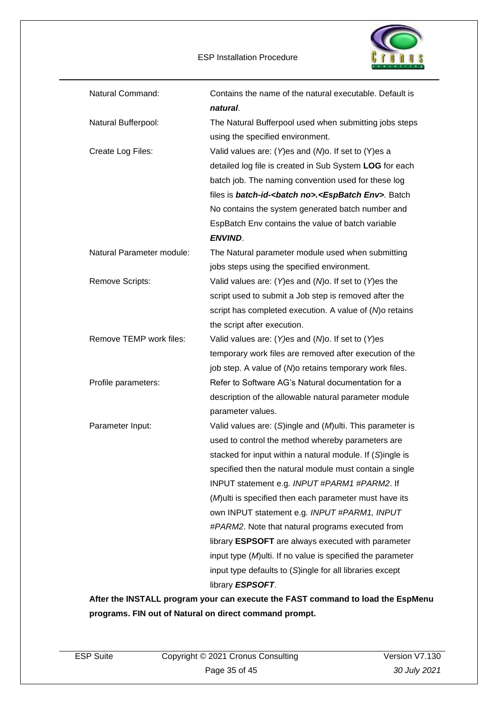ESP Installation Procedure



| Natural Command:          | Contains the name of the natural executable. Default is              |
|---------------------------|----------------------------------------------------------------------|
|                           | natural.                                                             |
| Natural Bufferpool:       | The Natural Bufferpool used when submitting jobs steps               |
|                           | using the specified environment.                                     |
| Create Log Files:         | Valid values are: (Y)es and ( $M$ )o. If set to (Y)es a              |
|                           | detailed log file is created in Sub System LOG for each              |
|                           | batch job. The naming convention used for these log                  |
|                           | files is batch-id-<br>batch no>. <espbatch env="">. Batch</espbatch> |
|                           | No contains the system generated batch number and                    |
|                           | EspBatch Env contains the value of batch variable                    |
|                           | <b>ENVIND.</b>                                                       |
| Natural Parameter module: | The Natural parameter module used when submitting                    |
|                           | jobs steps using the specified environment.                          |
| <b>Remove Scripts:</b>    | Valid values are: (Y)es and ( $M$ )o. If set to (Y)es the            |
|                           | script used to submit a Job step is removed after the                |
|                           | script has completed execution. A value of (M) or etains             |
|                           | the script after execution.                                          |
| Remove TEMP work files:   | Valid values are: $(Y)$ es and $(N)$ o. If set to $(Y)$ es           |
|                           | temporary work files are removed after execution of the              |
|                           | job step. A value of (M) or etains temporary work files.             |
| Profile parameters:       | Refer to Software AG's Natural documentation for a                   |
|                           | description of the allowable natural parameter module                |
|                           | parameter values.                                                    |
| Parameter Input:          | Valid values are: (S)ingle and (M)ulti. This parameter is            |
|                           | used to control the method whereby parameters are                    |
|                           | stacked for input within a natural module. If (S)ingle is            |
|                           | specified then the natural module must contain a single              |
|                           | INPUT statement e.g. INPUT #PARM1 #PARM2. If                         |
|                           | (M) ulti is specified then each parameter must have its              |
|                           | own INPUT statement e.g. INPUT #PARM1, INPUT                         |
|                           | #PARM2. Note that natural programs executed from                     |
|                           | library ESPSOFT are always executed with parameter                   |
|                           | input type (M) ulti. If no value is specified the parameter          |
|                           | input type defaults to (S)ingle for all libraries except             |
|                           | library ESPSOFT.                                                     |

**After the INSTALL program your can execute the FAST command to load the EspMenu programs. FIN out of Natural on direct command prompt.**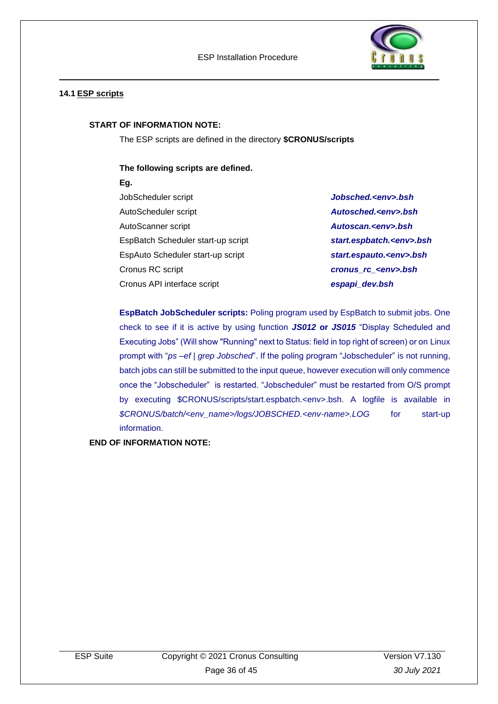

### <span id="page-35-0"></span>**14.1 ESP scripts**

#### **START OF INFORMATION NOTE:**

The ESP scripts are defined in the directory **\$CRONUS/scripts**

### **The following scripts are defined.**

- **Eg.**
- JobScheduler script *Jobsched.<env>.bsh* AutoScheduler script *Autosched.<env>.bsh* AutoScanner script *Autoscan.<env>.bsh* EspBatch Scheduler start-up script *start.espbatch.<env>.bsh* EspAuto Scheduler start-up script *start.espauto.<env>.bsh* Cronus RC script *cronus\_rc\_<env>.bsh* Cronus API interface script *espapi\_dev.bsh*

**EspBatch JobScheduler scripts:** Poling program used by EspBatch to submit jobs. One check to see if it is active by using function *JS012* **or** *JS015* "Display Scheduled and Executing Jobs" (Will show "Running" next to Status: field in top right of screen) or on Linux prompt with "*ps –ef | grep Jobsched*". If the poling program "Jobscheduler" is not running, batch jobs can still be submitted to the input queue, however execution will only commence once the "Jobscheduler" is restarted. "Jobscheduler" must be restarted from O/S prompt by executing \$CRONUS/scripts/start.espbatch.<env>.bsh. A logfile is available in *\$CRONUS/batch/<env\_name>/logs/JOBSCHED.<env-name>.LOG* for start-up information.

**END OF INFORMATION NOTE:**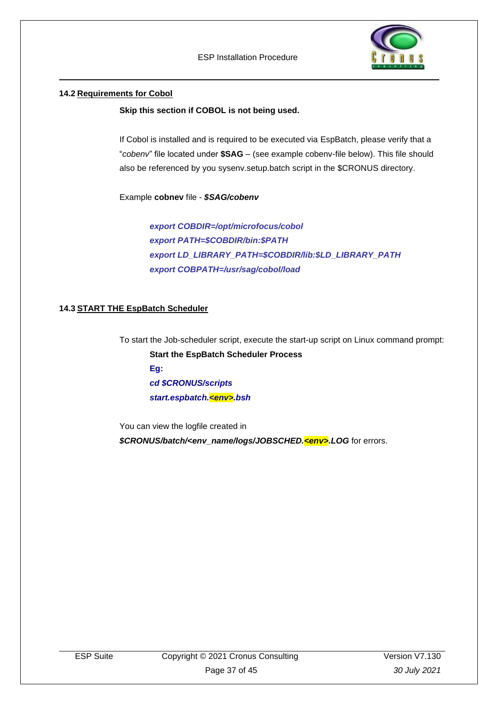ESP Installation Procedure



### <span id="page-36-0"></span>**14.2 Requirements for Cobol**

**Skip this section if COBOL is not being used.**

If Cobol is installed and is required to be executed via EspBatch, please verify that a "*cobenv*" file located under **\$SAG** – (see example cobenv-file below). This file should also be referenced by you sysenv.setup.batch script in the \$CRONUS directory.

Example **cobnev** file - *\$SAG/cobenv*

*export COBDIR=/opt/microfocus/cobol export PATH=\$COBDIR/bin:\$PATH export LD\_LIBRARY\_PATH=\$COBDIR/lib:\$LD\_LIBRARY\_PATH export COBPATH=/usr/sag/cobol/load*

### <span id="page-36-1"></span>**14.3 START THE EspBatch Scheduler**

To start the Job-scheduler script, execute the start-up script on Linux command prompt: **Start the EspBatch Scheduler Process Eg:** *cd \$CRONUS/scripts start.espbatch.<env>.bsh* 

You can view the logfile created in *\$CRONUS/batch/<env\_name/logs/JOBSCHED.<env>.LOG* for errors.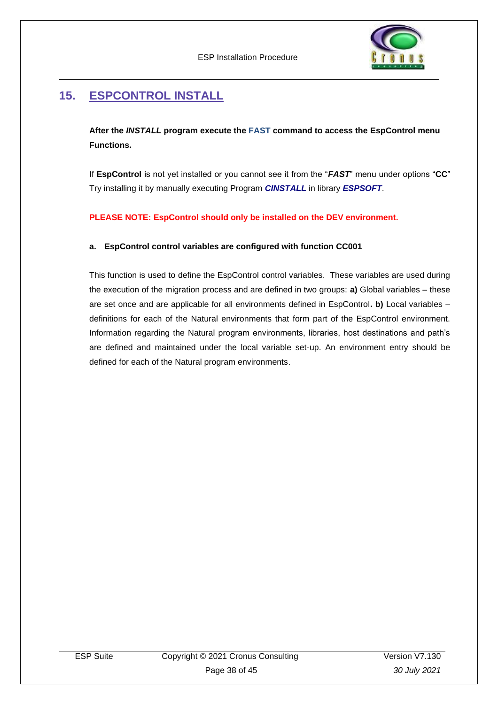

## <span id="page-37-0"></span>**15. ESPCONTROL INSTALL**

**After the** *INSTALL* **program execute the FAST command to access the EspControl menu Functions.** 

If **EspControl** is not yet installed or you cannot see it from the "*FAST*" menu under options "**CC**" Try installing it by manually executing Program *CINSTALL* in library *ESPSOFT*.

### **PLEASE NOTE: EspControl should only be installed on the DEV environment.**

### **a. EspControl control variables are configured with function CC001**

This function is used to define the EspControl control variables. These variables are used during the execution of the migration process and are defined in two groups: **a)** Global variables – these are set once and are applicable for all environments defined in EspControl**. b)** Local variables – definitions for each of the Natural environments that form part of the EspControl environment. Information regarding the Natural program environments, libraries, host destinations and path's are defined and maintained under the local variable set-up. An environment entry should be defined for each of the Natural program environments.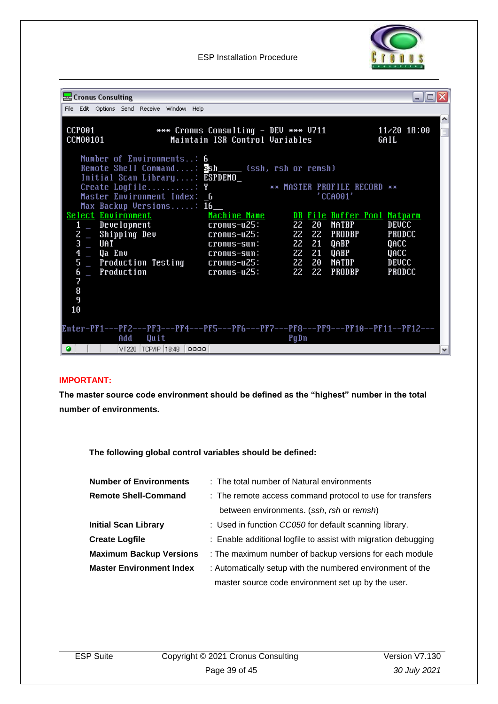

ESP Installation Procedure

| & Cronus Consulting                                                                                                     |                                                                        |       |               | - 10                              |
|-------------------------------------------------------------------------------------------------------------------------|------------------------------------------------------------------------|-------|---------------|-----------------------------------|
| File Edit Options Send Receive Window Help                                                                              |                                                                        |       |               |                                   |
| <b>CCP001</b><br>CCM00101                                                                                               | *** Cronus Consulting - DEU *** U711<br>Maintain ISR Control Variables |       |               | $11 \times 20$ 18:00<br>冒<br>GAIL |
| Number of Environments: 6<br>Remote Shell Command: <b>Ssh____</b> (ssh, rsh or remsh)<br>Initial Scan Library: ESPDEMO_ |                                                                        |       |               |                                   |
| Create Logfile: Y ** MASTER PROFILE RECORD **                                                                           |                                                                        |       |               |                                   |
| Master Environment Index: 6                                                                                             |                                                                        |       | 'CCA001'      |                                   |
| Max Backup Versions: 16<br>Select Environment                                                                           | Machine Name <b>DB</b> File Buffer Pool Natparm                        |       |               |                                   |
| 1 _ Development                                                                                                         | cronus-u25:                                                            | 22 20 | <b>NATBP</b>  | <b>DEUCC</b>                      |
| 2 _ Shipping Dev                                                                                                        | cronus-u25:                                                            | 22 22 | <b>PRODBP</b> | <b>PRODCC</b>                     |
| 3<br>UAT                                                                                                                | cronus-sun:                                                            | 22 21 | QABP          | QACC                              |
| $\overline{\mathbf{f}}$<br>_ Qa Env                                                                                     | cronus-sun:                                                            | 22 21 | QABP          | QACC                              |
| 5<br>_ Production Testing cronus-u25:                                                                                   |                                                                        | 22 20 | <b>NATBP</b>  | <b>DEUCC</b>                      |
| 6<br>$\overline{\phantom{a}}$ Production                                                                                | cronus-u25:                                                            | 22 22 | <b>PRODBP</b> | <b>PRODCC</b>                     |
| 7                                                                                                                       |                                                                        |       |               |                                   |
| 8                                                                                                                       |                                                                        |       |               |                                   |
| 9                                                                                                                       |                                                                        |       |               |                                   |
| 10                                                                                                                      |                                                                        |       |               |                                   |
| Enter-PF1---PF2---PF3---PF4---PF5---PF6---PF7---PF8---PF9---PF10--PF11--PF12---                                         |                                                                        |       |               |                                   |
| Add<br>Quit                                                                                                             |                                                                        | PgDn  |               |                                   |
| VT220   TCP/IP   18:48   0000  <br>$\bullet$                                                                            |                                                                        |       |               |                                   |

### **IMPORTANT:**

**The master source code environment should be defined as the "highest" number in the total number of environments.**

**The following global control variables should be defined:** 

| <b>Number of Environments</b>   | : The total number of Natural environments                     |  |
|---------------------------------|----------------------------------------------------------------|--|
| <b>Remote Shell-Command</b>     | : The remote access command protocol to use for transfers      |  |
|                                 | between environments. (ssh, rsh or remsh)                      |  |
| <b>Initial Scan Library</b>     | : Used in function CC050 for default scanning library.         |  |
| <b>Create Logfile</b>           | : Enable additional logfile to assist with migration debugging |  |
| <b>Maximum Backup Versions</b>  | : The maximum number of backup versions for each module        |  |
| <b>Master Environment Index</b> | : Automatically setup with the numbered environment of the     |  |
|                                 | master source code environment set up by the user.             |  |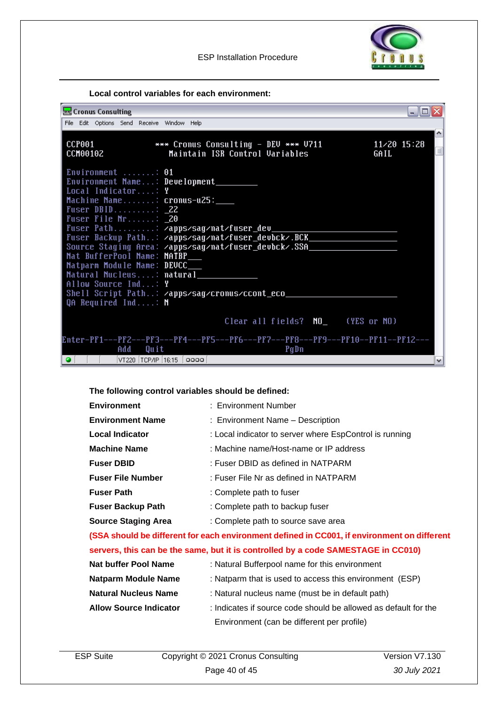



**Local control variables for each environment:**

| Cronus Consulting                                                                                                                               | - 10 |
|-------------------------------------------------------------------------------------------------------------------------------------------------|------|
| File Edit Options Send Receive Window Help                                                                                                      |      |
| <b>CCP001</b><br>*** Cronus Consulting - DEV *** V711<br>$11 \times 20$ 15:28<br>Maintain ISR Control Variables<br>CCM00102<br>GAIL             |      |
| Environment : 01<br>Environment Name: Development_<br>Local Indicator: Y<br>Machine Name: cronus-u25:<br>Fuser DBID: 22<br>Fuser File $Nr$ : 20 |      |
| Fuser Path: /apps/sag/nat/fuser_dev                                                                                                             |      |
| Fuser Backup Path: <b>/apps/sag/nat/fuser_devbck/.BCK___________________________</b>                                                            |      |
| Source Staging Area: /apps/sag/nat/fuser_devbck/.SSA____________________________<br>Nat BufferPool Name: NATBP___                               |      |
| Natparm Module Name: DEVCC___                                                                                                                   |      |
| Natural Nucleus: natural                                                                                                                        |      |
| Allow Source Ind: Y                                                                                                                             |      |
| Shell Script Path: /apps/sag/cronus/ccont_eco_<br>QA Required Ind: $N$                                                                          |      |
| Clear all fields? NO_6(YES or NO)                                                                                                               |      |
| Enter-PF1---PF2---PF3---PF4---PF5---PF6---PF7---PF8---PF9---PF10--PF11--PF12---<br>Quit<br>Add<br>PgDn                                          |      |
| $\bullet$<br> VT220 TCP/IP 16:15 0000                                                                                                           |      |

### **The following control variables should be defined:**

| <b>Environment</b>         | : Environment Number                                                                        |
|----------------------------|---------------------------------------------------------------------------------------------|
| <b>Environment Name</b>    | : Environment Name - Description                                                            |
| <b>Local Indicator</b>     | : Local indicator to server where EspControl is running                                     |
| <b>Machine Name</b>        | : Machine name/Host-name or IP address                                                      |
| <b>Fuser DBID</b>          | : Fuser DBID as defined in NATPARM                                                          |
| <b>Fuser File Number</b>   | : Fuser File Nr as defined in NATPARM                                                       |
| <b>Fuser Path</b>          | : Complete path to fuser                                                                    |
| <b>Fuser Backup Path</b>   | : Complete path to backup fuser                                                             |
| <b>Source Staging Area</b> | : Complete path to source save area                                                         |
|                            | (SSA should be different for each environment defined in CC001, if environment on different |
|                            |                                                                                             |

### **servers, this can be the same, but it is controlled by a code SAMESTAGE in CC010)**

| <b>Nat buffer Pool Name</b>   | : Natural Bufferpool name for this environment                  |
|-------------------------------|-----------------------------------------------------------------|
| Natparm Module Name           | : Natparm that is used to access this environment (ESP)         |
| <b>Natural Nucleus Name</b>   | : Natural nucleus name (must be in default path)                |
| <b>Allow Source Indicator</b> | : Indicates if source code should be allowed as default for the |
|                               | Environment (can be different per profile)                      |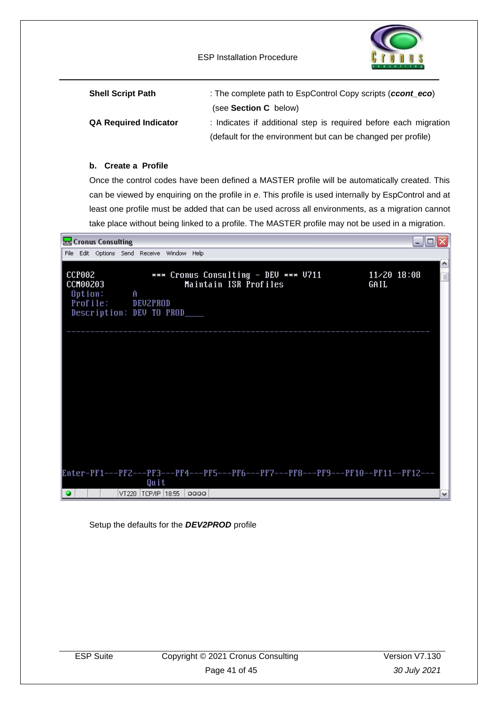ESP Installation Procedure



| <b>Shell Script Path</b>     | : The complete path to EspControl Copy scripts (ccont $eco$ )    |
|------------------------------|------------------------------------------------------------------|
|                              | (see Section C below)                                            |
| <b>QA Required Indicator</b> | : Indicates if additional step is required before each migration |
|                              | (default for the environment but can be changed per profile)     |

### **b. Create a Profile**

Once the control codes have been defined a MASTER profile will be automatically created. This can be viewed by enquiring on the profile in *e*. This profile is used internally by EspControl and at least one profile must be added that can be used across all environments, as a migration cannot take place without being linked to a profile. The MASTER profile may not be used in a migration.



Setup the defaults for the *DEV2PROD* profile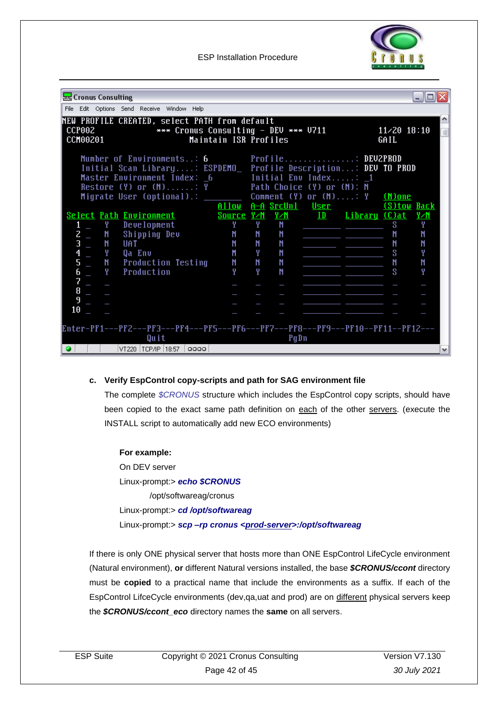

ESP Installation Procedure

| & Cronus Consulting                                                                                                                                                    |                       |    |      |                                                          |                                | - 10     |
|------------------------------------------------------------------------------------------------------------------------------------------------------------------------|-----------------------|----|------|----------------------------------------------------------|--------------------------------|----------|
| File Edit Options Send Receive Window Help                                                                                                                             |                       |    |      |                                                          |                                |          |
| NEW PROFILE CREATED, select PATH from default<br>CCP002<br>*** Cronus Consulting - DEV *** V711<br>CCM00201                                                            | Maintain ISR Profiles |    |      |                                                          | $11 \times 20$ $18:10$<br>GAIL | $\equiv$ |
| Number of Environments: 6 Profile: DEUZPROD<br>Initial Scan Library: ESPDEMO_ Profile Description: DEV TO PROD<br>Master Environment Index: 6<br>Restore (Y) or (N): Y |                       |    |      | Initial Enu Index: 1<br>Path Choice (Y) or (N): N        |                                |          |
| Migrate User (optional).: _________ Comment (Y) or (N): Y (N)one                                                                                                       |                       |    |      | Allow A-A SrcUnl User (S)tow Back                        |                                |          |
| <b>Select Path Environment</b>                                                                                                                                         |                       |    |      | Source Y/M Y/M ID Library (C)at                          |                                | Y∠N      |
| $\overline{a}$ $\overline{a}$<br>Development<br>1                                                                                                                      | Y                     | Y. | N    |                                                          | S.                             | Y        |
| $2 \equiv$<br>N<br>Shipping Dev                                                                                                                                        | N                     | N  | N    | <u> 1989 - Jan Salaman, masjid a shekara t</u>           | N                              | N        |
| $\overline{\mathbf{3}}$<br>N<br>UAT                                                                                                                                    | N                     | N  | N    | المستحيل والمسحد                                         | N                              | N        |
| $\overline{\mathbf{f}}$<br>Y<br>Qa Env                                                                                                                                 | M                     | Y  | N    | <u> 1989 - Jan James James Barnett, fransk kongresu.</u> | S                              | Y        |
| 5<br>N<br><b>Production Testing</b>                                                                                                                                    | N                     | N  | N    |                                                          | N                              | N        |
| $\frac{6}{7}$<br>Y.<br>Production                                                                                                                                      | Υ                     | Y  | N    |                                                          | s                              | Y        |
|                                                                                                                                                                        |                       |    |      |                                                          |                                |          |
| 8                                                                                                                                                                      |                       |    |      |                                                          |                                |          |
| 9                                                                                                                                                                      |                       |    |      |                                                          |                                |          |
| 10                                                                                                                                                                     |                       |    |      |                                                          |                                |          |
| Enter-PF1---PF2---PF3---PF4---PF5---PF6---PF7---PF8---PF9---PF10--PF11--PF12---<br>Quit<br> VT220  TCP/IP  18:57   <br>0000                                            |                       |    | PgDn |                                                          |                                |          |

### **c. Verify EspControl copy-scripts and path for SAG environment file**

The complete *\$CRONUS* structure which includes the EspControl copy scripts, should have been copied to the exact same path definition on each of the other servers. (execute the INSTALL script to automatically add new ECO environments)

**For example:** On DEV server Linux-prompt:> *echo \$CRONUS* /opt/softwareag/cronus Linux-prompt:> *cd /opt/softwareag* Linux-prompt:> *scp –rp cronus <prod-server>:/opt/softwareag*

If there is only ONE physical server that hosts more than ONE EspControl LifeCycle environment (Natural environment), **or** different Natural versions installed, the base *\$CRONUS/ccont* directory must be **copied** to a practical name that include the environments as a suffix. If each of the EspControl LifceCycle environments (dev,qa,uat and prod) are on different physical servers keep the *\$CRONUS/ccont\_eco* directory names the **same** on all servers.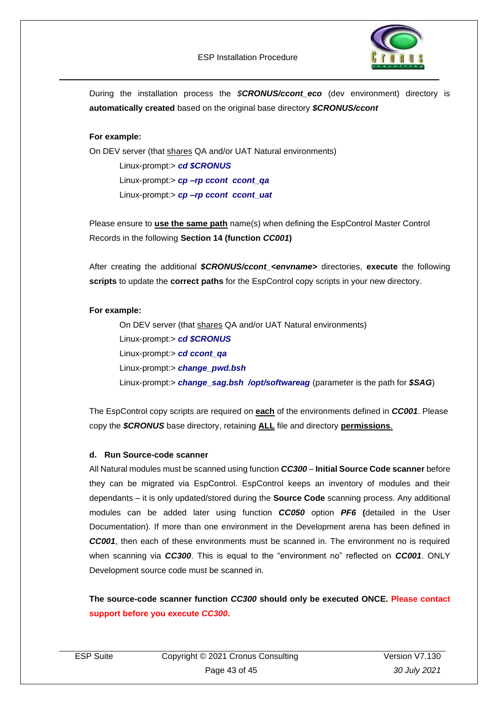

During the installation process the *\$CRONUS/ccont\_eco* (dev environment) directory is **automatically created** based on the original base directory *\$CRONUS/ccont*

### **For example:**

On DEV server (that shares QA and/or UAT Natural environments)

Linux-prompt:> *cd \$CRONUS* Linux-prompt:> *cp –rp ccont ccont\_qa* Linux-prompt:> *cp –rp ccont ccont\_uat*

Please ensure to **use the same path** name(s) when defining the EspControl Master Control Records in the following **Section 14 (function** *CC001***)**

After creating the additional *\$CRONUS/ccont\_<envname>* directories, **execute** the following **scripts** to update the **correct paths** for the EspControl copy scripts in your new directory.

#### **For example:**

On DEV server (that shares QA and/or UAT Natural environments) Linux-prompt:> *cd \$CRONUS* Linux-prompt:> *cd ccont\_qa* Linux-prompt:> *change\_pwd.bsh* Linux-prompt:> *change\_sag.bsh /opt/softwareag* (parameter is the path for *\$SAG*)

The EspControl copy scripts are required on **each** of the environments defined in *CC001*. Please copy the *\$CRONUS* base directory, retaining **ALL** file and directory **permissions**.

#### **d. Run Source-code scanner**

All Natural modules must be scanned using function *CC300* – **Initial Source Code scanner** before they can be migrated via EspControl. EspControl keeps an inventory of modules and their dependants – it is only updated/stored during the **Source Code** scanning process. Any additional modules can be added later using function *CC050* option *PF6* **(**detailed in the User Documentation). If more than one environment in the Development arena has been defined in *CC001*, then each of these environments must be scanned in. The environment no is required when scanning via *CC300*. This is equal to the "environment no" reflected on *CC001*. ONLY Development source code must be scanned in.

**The source-code scanner function** *CC300* **should only be executed ONCE. Please contact support before you execute** *CC300***.**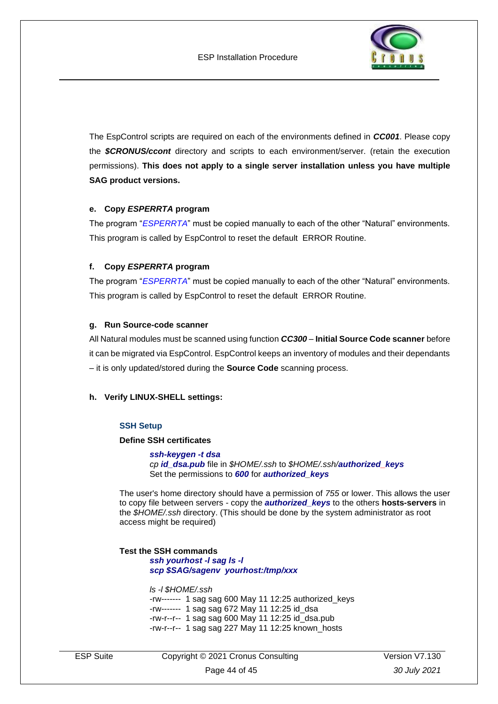

The EspControl scripts are required on each of the environments defined in *CC001*. Please copy the *\$CRONUS/ccont* directory and scripts to each environment/server. (retain the execution permissions). **This does not apply to a single server installation unless you have multiple SAG product versions.**

### **e. Copy** *ESPERRTA* **program**

The program "*ESPERRTA*" must be copied manually to each of the other "Natural" environments. This program is called by EspControl to reset the default ERROR Routine.

### **f. Copy** *ESPERRTA* **program**

The program "*ESPERRTA*" must be copied manually to each of the other "Natural" environments. This program is called by EspControl to reset the default ERROR Routine.

### **g. Run Source-code scanner**

All Natural modules must be scanned using function *CC300* – **Initial Source Code scanner** before it can be migrated via EspControl. EspControl keeps an inventory of modules and their dependants – it is only updated/stored during the **Source Code** scanning process.

#### **h. Verify LINUX-SHELL settings:**

#### **SSH Setup**

#### **Define SSH certificates**

*ssh-keygen -t dsa cp id\_dsa.pub* file in *\$HOME/.ssh* to *\$HOME/.ssh/authorized\_keys* Set the permissions to *600* for *authorized\_keys*

The user's home directory should have a permission of *755* or lower. This allows the user to copy file between servers - copy the *authorized\_keys* to the others **hosts-servers** in the *\$HOME/.ssh* directory. (This should be done by the system administrator as root access might be required)

**Test the SSH commands** *ssh yourhost -l sag ls -l scp \$SAG/sagenv yourhost:/tmp/xxx*

*ls -l \$HOME/.ssh*

-rw------- 1 sag sag 600 May 11 12:25 authorized\_keys -rw------- 1 sag sag 672 May 11 12:25 id\_dsa -rw-r--r-- 1 sag sag 600 May 11 12:25 id\_dsa.pub -rw-r--r-- 1 sag sag 227 May 11 12:25 known\_hosts

ESP Suite Copyright © 2021 Cronus Consulting